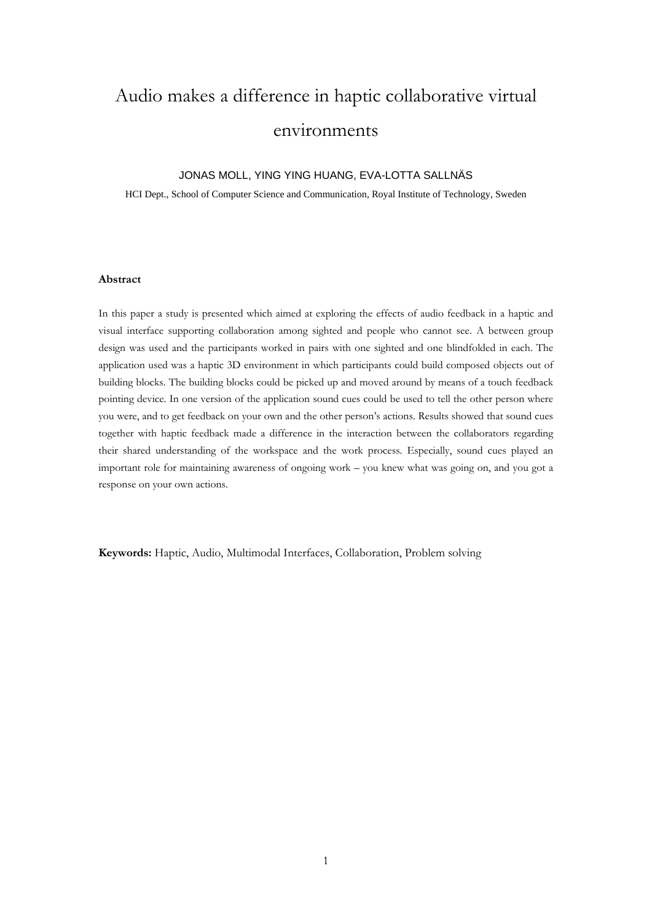# Audio makes a difference in haptic collaborative virtual environments

#### JONAS MOLL, YING YING HUANG, EVA-LOTTA SALLNÄS

HCI Dept., School of Computer Science and Communication, Royal Institute of Technology, Sweden

#### **Abstract**

In this paper a study is presented which aimed at exploring the effects of audio feedback in a haptic and visual interface supporting collaboration among sighted and people who cannot see. A between group design was used and the participants worked in pairs with one sighted and one blindfolded in each. The application used was a haptic 3D environment in which participants could build composed objects out of building blocks. The building blocks could be picked up and moved around by means of a touch feedback pointing device. In one version of the application sound cues could be used to tell the other person where you were, and to get feedback on your own and the other person's actions. Results showed that sound cues together with haptic feedback made a difference in the interaction between the collaborators regarding their shared understanding of the workspace and the work process. Especially, sound cues played an important role for maintaining awareness of ongoing work – you knew what was going on, and you got a response on your own actions.

**Keywords:** Haptic, Audio, Multimodal Interfaces, Collaboration, Problem solving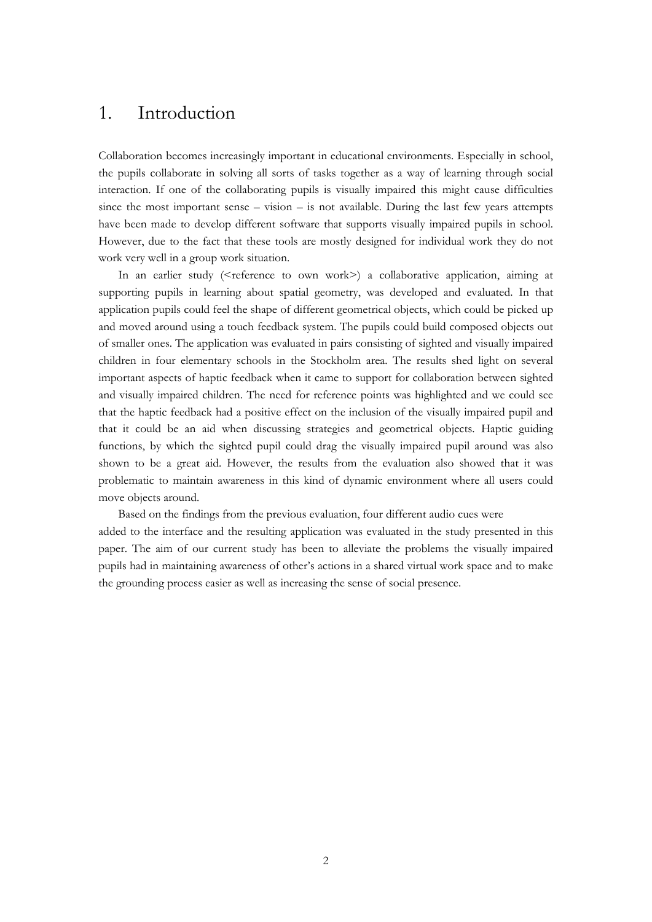# 1. Introduction

Collaboration becomes increasingly important in educational environments. Especially in school, the pupils collaborate in solving all sorts of tasks together as a way of learning through social interaction. If one of the collaborating pupils is visually impaired this might cause difficulties since the most important sense – vision – is not available. During the last few years attempts have been made to develop different software that supports visually impaired pupils in school. However, due to the fact that these tools are mostly designed for individual work they do not work very well in a group work situation.

In an earlier study (<reference to own work>) a collaborative application, aiming at supporting pupils in learning about spatial geometry, was developed and evaluated. In that application pupils could feel the shape of different geometrical objects, which could be picked up and moved around using a touch feedback system. The pupils could build composed objects out of smaller ones. The application was evaluated in pairs consisting of sighted and visually impaired children in four elementary schools in the Stockholm area. The results shed light on several important aspects of haptic feedback when it came to support for collaboration between sighted and visually impaired children. The need for reference points was highlighted and we could see that the haptic feedback had a positive effect on the inclusion of the visually impaired pupil and that it could be an aid when discussing strategies and geometrical objects. Haptic guiding functions, by which the sighted pupil could drag the visually impaired pupil around was also shown to be a great aid. However, the results from the evaluation also showed that it was problematic to maintain awareness in this kind of dynamic environment where all users could move objects around.

Based on the findings from the previous evaluation, four different audio cues were added to the interface and the resulting application was evaluated in the study presented in this paper. The aim of our current study has been to alleviate the problems the visually impaired pupils had in maintaining awareness of other's actions in a shared virtual work space and to make the grounding process easier as well as increasing the sense of social presence.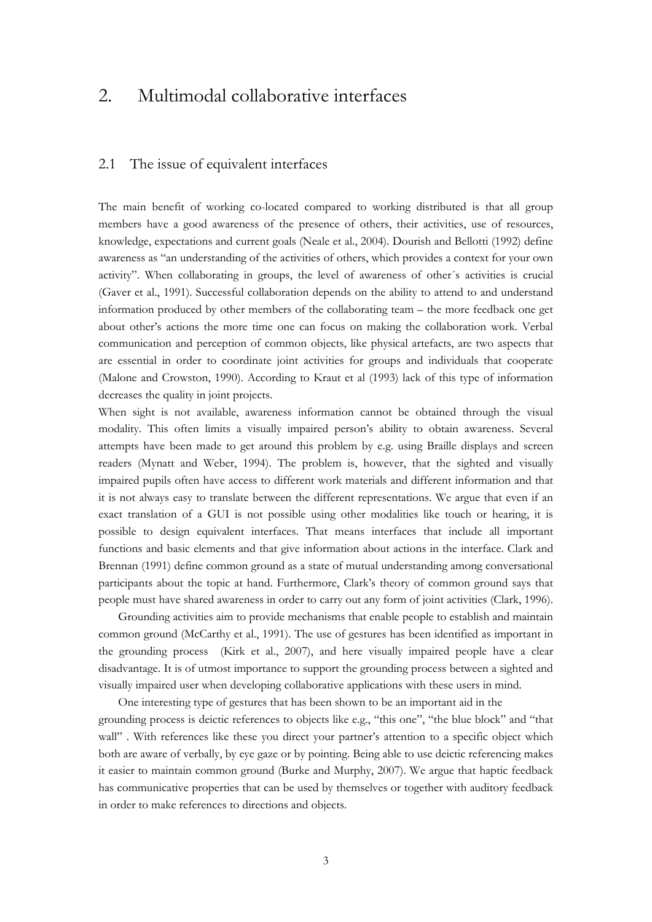# 2. Multimodal collaborative interfaces

### 2.1 The issue of equivalent interfaces

The main benefit of working co-located compared to working distributed is that all group members have a good awareness of the presence of others, their activities, use of resources, knowledge, expectations and current goals (Neale et al., 2004). Dourish and Bellotti (1992) define awareness as "an understanding of the activities of others, which provides a context for your own activity". When collaborating in groups, the level of awareness of other´s activities is crucial (Gaver et al., 1991). Successful collaboration depends on the ability to attend to and understand information produced by other members of the collaborating team – the more feedback one get about other's actions the more time one can focus on making the collaboration work. Verbal communication and perception of common objects, like physical artefacts, are two aspects that are essential in order to coordinate joint activities for groups and individuals that cooperate (Malone and Crowston, 1990). According to Kraut et al (1993) lack of this type of information decreases the quality in joint projects.

When sight is not available, awareness information cannot be obtained through the visual modality. This often limits a visually impaired person's ability to obtain awareness. Several attempts have been made to get around this problem by e.g. using Braille displays and screen readers (Mynatt and Weber, 1994). The problem is, however, that the sighted and visually impaired pupils often have access to different work materials and different information and that it is not always easy to translate between the different representations. We argue that even if an exact translation of a GUI is not possible using other modalities like touch or hearing, it is possible to design equivalent interfaces. That means interfaces that include all important functions and basic elements and that give information about actions in the interface. Clark and Brennan (1991) define common ground as a state of mutual understanding among conversational participants about the topic at hand. Furthermore, Clark's theory of common ground says that people must have shared awareness in order to carry out any form of joint activities (Clark, 1996).

Grounding activities aim to provide mechanisms that enable people to establish and maintain common ground (McCarthy et al., 1991). The use of gestures has been identified as important in the grounding process (Kirk et al., 2007), and here visually impaired people have a clear disadvantage. It is of utmost importance to support the grounding process between a sighted and visually impaired user when developing collaborative applications with these users in mind.

One interesting type of gestures that has been shown to be an important aid in the grounding process is deictic references to objects like e.g., "this one", "the blue block" and "that wall" . With references like these you direct your partner's attention to a specific object which both are aware of verbally, by eye gaze or by pointing. Being able to use deictic referencing makes it easier to maintain common ground (Burke and Murphy, 2007). We argue that haptic feedback has communicative properties that can be used by themselves or together with auditory feedback in order to make references to directions and objects.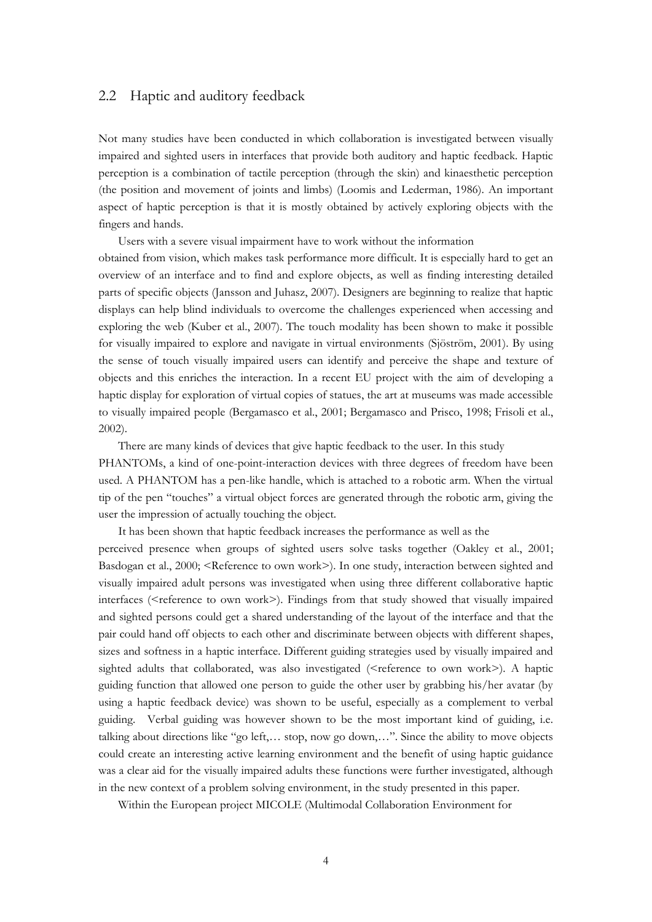# 2.2 Haptic and auditory feedback

Not many studies have been conducted in which collaboration is investigated between visually impaired and sighted users in interfaces that provide both auditory and haptic feedback. Haptic perception is a combination of tactile perception (through the skin) and kinaesthetic perception (the position and movement of joints and limbs) (Loomis and Lederman, 1986). An important aspect of haptic perception is that it is mostly obtained by actively exploring objects with the fingers and hands.

Users with a severe visual impairment have to work without the information obtained from vision, which makes task performance more difficult. It is especially hard to get an overview of an interface and to find and explore objects, as well as finding interesting detailed parts of specific objects (Jansson and Juhasz, 2007). Designers are beginning to realize that haptic displays can help blind individuals to overcome the challenges experienced when accessing and exploring the web (Kuber et al., 2007). The touch modality has been shown to make it possible for visually impaired to explore and navigate in virtual environments (Sjöström, 2001). By using the sense of touch visually impaired users can identify and perceive the shape and texture of objects and this enriches the interaction. In a recent EU project with the aim of developing a haptic display for exploration of virtual copies of statues, the art at museums was made accessible to visually impaired people (Bergamasco et al., 2001; Bergamasco and Prisco, 1998; Frisoli et al., 2002).

There are many kinds of devices that give haptic feedback to the user. In this study PHANTOMs, a kind of one-point-interaction devices with three degrees of freedom have been used. A PHANTOM has a pen-like handle, which is attached to a robotic arm. When the virtual tip of the pen "touches" a virtual object forces are generated through the robotic arm, giving the user the impression of actually touching the object.

It has been shown that haptic feedback increases the performance as well as the perceived presence when groups of sighted users solve tasks together (Oakley et al., 2001; Basdogan et al., 2000; <Reference to own work>). In one study, interaction between sighted and visually impaired adult persons was investigated when using three different collaborative haptic interfaces (<reference to own work>). Findings from that study showed that visually impaired and sighted persons could get a shared understanding of the layout of the interface and that the pair could hand off objects to each other and discriminate between objects with different shapes, sizes and softness in a haptic interface. Different guiding strategies used by visually impaired and sighted adults that collaborated, was also investigated (<reference to own work>). A haptic guiding function that allowed one person to guide the other user by grabbing his/her avatar (by using a haptic feedback device) was shown to be useful, especially as a complement to verbal guiding. Verbal guiding was however shown to be the most important kind of guiding, i.e. talking about directions like "go left,… stop, now go down,…". Since the ability to move objects could create an interesting active learning environment and the benefit of using haptic guidance was a clear aid for the visually impaired adults these functions were further investigated, although in the new context of a problem solving environment, in the study presented in this paper.

Within the European project MICOLE (Multimodal Collaboration Environment for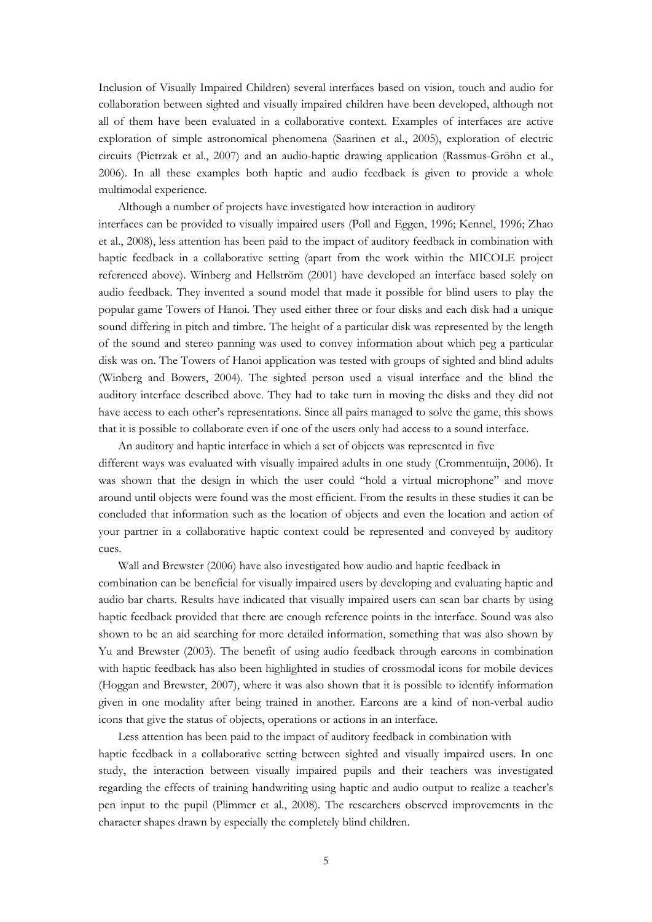Inclusion of Visually Impaired Children) several interfaces based on vision, touch and audio for collaboration between sighted and visually impaired children have been developed, although not all of them have been evaluated in a collaborative context. Examples of interfaces are active exploration of simple astronomical phenomena (Saarinen et al., 2005), exploration of electric circuits (Pietrzak et al., 2007) and an audio-haptic drawing application (Rassmus-Gröhn et al., 2006). In all these examples both haptic and audio feedback is given to provide a whole multimodal experience.

Although a number of projects have investigated how interaction in auditory interfaces can be provided to visually impaired users (Poll and Eggen, 1996; Kennel, 1996; Zhao et al., 2008), less attention has been paid to the impact of auditory feedback in combination with haptic feedback in a collaborative setting (apart from the work within the MICOLE project referenced above). Winberg and Hellström (2001) have developed an interface based solely on audio feedback. They invented a sound model that made it possible for blind users to play the popular game Towers of Hanoi. They used either three or four disks and each disk had a unique sound differing in pitch and timbre. The height of a particular disk was represented by the length of the sound and stereo panning was used to convey information about which peg a particular disk was on. The Towers of Hanoi application was tested with groups of sighted and blind adults (Winberg and Bowers, 2004). The sighted person used a visual interface and the blind the auditory interface described above. They had to take turn in moving the disks and they did not have access to each other's representations. Since all pairs managed to solve the game, this shows that it is possible to collaborate even if one of the users only had access to a sound interface.

An auditory and haptic interface in which a set of objects was represented in five different ways was evaluated with visually impaired adults in one study (Crommentuijn, 2006). It was shown that the design in which the user could "hold a virtual microphone" and move around until objects were found was the most efficient. From the results in these studies it can be concluded that information such as the location of objects and even the location and action of your partner in a collaborative haptic context could be represented and conveyed by auditory cues.

Wall and Brewster (2006) have also investigated how audio and haptic feedback in combination can be beneficial for visually impaired users by developing and evaluating haptic and audio bar charts. Results have indicated that visually impaired users can scan bar charts by using haptic feedback provided that there are enough reference points in the interface. Sound was also shown to be an aid searching for more detailed information, something that was also shown by Yu and Brewster (2003). The benefit of using audio feedback through earcons in combination with haptic feedback has also been highlighted in studies of crossmodal icons for mobile devices (Hoggan and Brewster, 2007), where it was also shown that it is possible to identify information given in one modality after being trained in another. Earcons are a kind of non-verbal audio icons that give the status of objects, operations or actions in an interface.

Less attention has been paid to the impact of auditory feedback in combination with haptic feedback in a collaborative setting between sighted and visually impaired users. In one study, the interaction between visually impaired pupils and their teachers was investigated regarding the effects of training handwriting using haptic and audio output to realize a teacher's pen input to the pupil (Plimmer et al., 2008). The researchers observed improvements in the character shapes drawn by especially the completely blind children.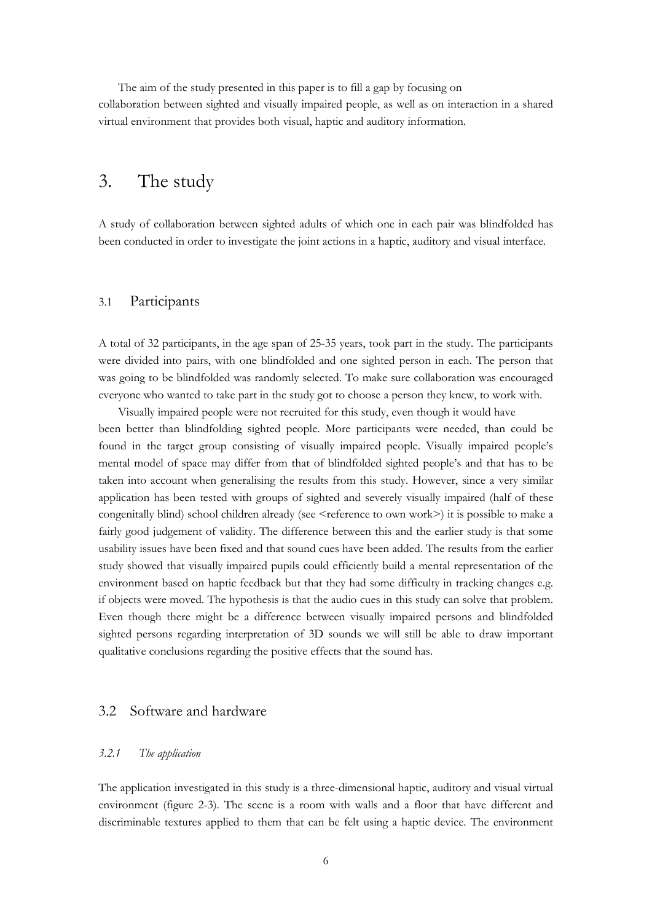The aim of the study presented in this paper is to fill a gap by focusing on collaboration between sighted and visually impaired people, as well as on interaction in a shared virtual environment that provides both visual, haptic and auditory information.

# 3. The study

A study of collaboration between sighted adults of which one in each pair was blindfolded has been conducted in order to investigate the joint actions in a haptic, auditory and visual interface.

#### 3.1 Participants

A total of 32 participants, in the age span of 25-35 years, took part in the study. The participants were divided into pairs, with one blindfolded and one sighted person in each. The person that was going to be blindfolded was randomly selected. To make sure collaboration was encouraged everyone who wanted to take part in the study got to choose a person they knew, to work with.

Visually impaired people were not recruited for this study, even though it would have been better than blindfolding sighted people. More participants were needed, than could be found in the target group consisting of visually impaired people. Visually impaired people's mental model of space may differ from that of blindfolded sighted people's and that has to be taken into account when generalising the results from this study. However, since a very similar application has been tested with groups of sighted and severely visually impaired (half of these congenitally blind) school children already (see <reference to own work>) it is possible to make a fairly good judgement of validity. The difference between this and the earlier study is that some usability issues have been fixed and that sound cues have been added. The results from the earlier study showed that visually impaired pupils could efficiently build a mental representation of the environment based on haptic feedback but that they had some difficulty in tracking changes e.g. if objects were moved. The hypothesis is that the audio cues in this study can solve that problem. Even though there might be a difference between visually impaired persons and blindfolded sighted persons regarding interpretation of 3D sounds we will still be able to draw important qualitative conclusions regarding the positive effects that the sound has.

### 3.2 Software and hardware

#### *3.2.1 The application*

The application investigated in this study is a three-dimensional haptic, auditory and visual virtual environment (figure 2-3). The scene is a room with walls and a floor that have different and discriminable textures applied to them that can be felt using a haptic device. The environment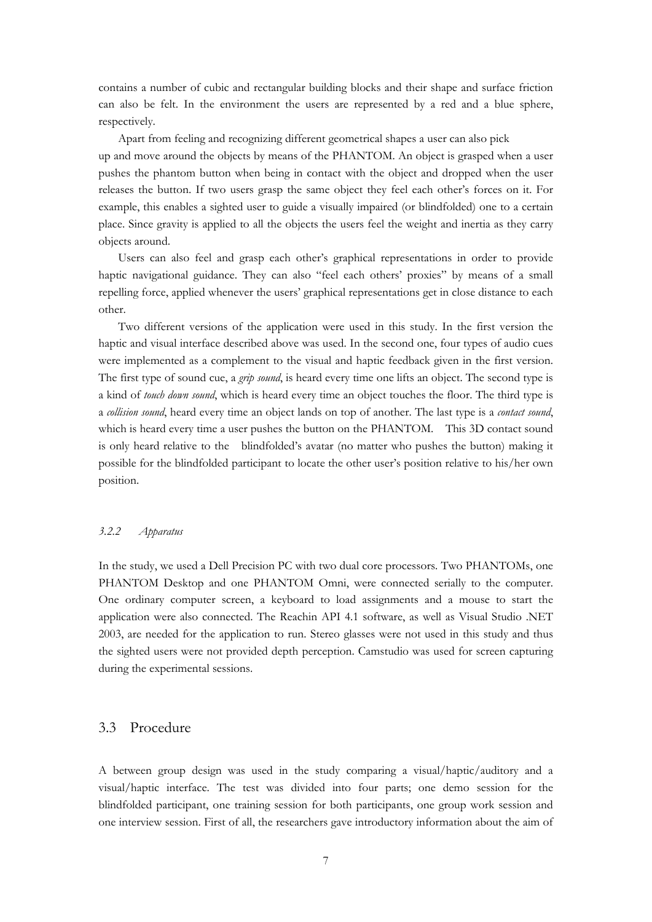contains a number of cubic and rectangular building blocks and their shape and surface friction can also be felt. In the environment the users are represented by a red and a blue sphere, respectively.

Apart from feeling and recognizing different geometrical shapes a user can also pick up and move around the objects by means of the PHANTOM. An object is grasped when a user pushes the phantom button when being in contact with the object and dropped when the user releases the button. If two users grasp the same object they feel each other's forces on it. For example, this enables a sighted user to guide a visually impaired (or blindfolded) one to a certain place. Since gravity is applied to all the objects the users feel the weight and inertia as they carry objects around.

Users can also feel and grasp each other's graphical representations in order to provide haptic navigational guidance. They can also "feel each others' proxies" by means of a small repelling force, applied whenever the users' graphical representations get in close distance to each other.

Two different versions of the application were used in this study. In the first version the haptic and visual interface described above was used. In the second one, four types of audio cues were implemented as a complement to the visual and haptic feedback given in the first version. The first type of sound cue, a *grip sound*, is heard every time one lifts an object. The second type is a kind of *touch down sound*, which is heard every time an object touches the floor. The third type is a *collision sound*, heard every time an object lands on top of another. The last type is a *contact sound*, which is heard every time a user pushes the button on the PHANTOM. This 3D contact sound is only heard relative to the blindfolded's avatar (no matter who pushes the button) making it possible for the blindfolded participant to locate the other user's position relative to his/her own position.

#### *3.2.2 Apparatus*

In the study, we used a Dell Precision PC with two dual core processors. Two PHANTOMs, one PHANTOM Desktop and one PHANTOM Omni, were connected serially to the computer. One ordinary computer screen, a keyboard to load assignments and a mouse to start the application were also connected. The Reachin API 4.1 software, as well as Visual Studio .NET 2003, are needed for the application to run. Stereo glasses were not used in this study and thus the sighted users were not provided depth perception. Camstudio was used for screen capturing during the experimental sessions.

### 3.3 Procedure

A between group design was used in the study comparing a visual/haptic/auditory and a visual/haptic interface. The test was divided into four parts; one demo session for the blindfolded participant, one training session for both participants, one group work session and one interview session. First of all, the researchers gave introductory information about the aim of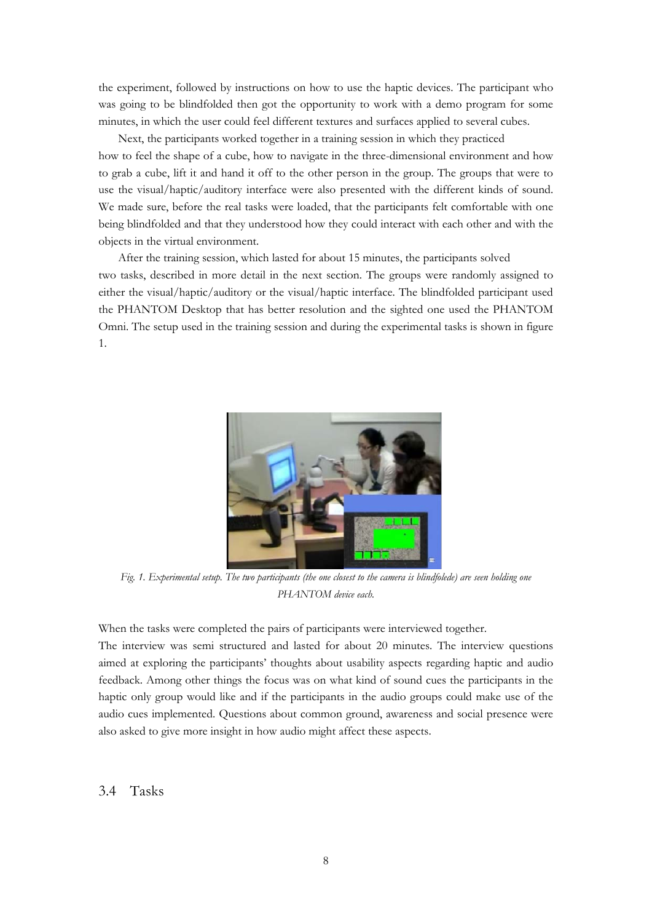the experiment, followed by instructions on how to use the haptic devices. The participant who was going to be blindfolded then got the opportunity to work with a demo program for some minutes, in which the user could feel different textures and surfaces applied to several cubes.

Next, the participants worked together in a training session in which they practiced how to feel the shape of a cube, how to navigate in the three-dimensional environment and how to grab a cube, lift it and hand it off to the other person in the group. The groups that were to use the visual/haptic/auditory interface were also presented with the different kinds of sound. We made sure, before the real tasks were loaded, that the participants felt comfortable with one being blindfolded and that they understood how they could interact with each other and with the objects in the virtual environment.

After the training session, which lasted for about 15 minutes, the participants solved two tasks, described in more detail in the next section. The groups were randomly assigned to either the visual/haptic/auditory or the visual/haptic interface. The blindfolded participant used the PHANTOM Desktop that has better resolution and the sighted one used the PHANTOM Omni. The setup used in the training session and during the experimental tasks is shown in figure 1.



*Fig. 1. Experimental setup. The two participants (the one closest to the camera is blindfolede) are seen holding one PHANTOM device each.* 

When the tasks were completed the pairs of participants were interviewed together.

The interview was semi structured and lasted for about 20 minutes. The interview questions aimed at exploring the participants' thoughts about usability aspects regarding haptic and audio feedback. Among other things the focus was on what kind of sound cues the participants in the haptic only group would like and if the participants in the audio groups could make use of the audio cues implemented. Questions about common ground, awareness and social presence were also asked to give more insight in how audio might affect these aspects.

# 3.4 Tasks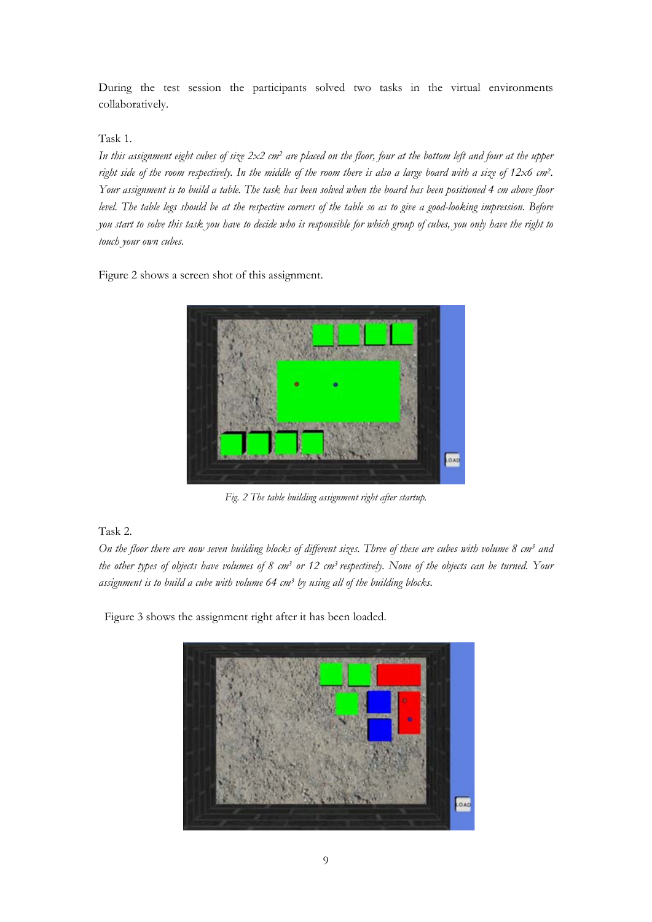During the test session the participants solved two tasks in the virtual environments collaboratively.

Task 1.

*In this assignment eight cubes of size 2x2 cm2 are placed on the floor, four at the bottom left and four at the upper right side of the room respectively. In the middle of the room there is also a large board with a size of 12x6 cm2. Your assignment is to build a table. The task has been solved when the board has been positioned 4 cm above floor level. The table legs should be at the respective corners of the table so as to give a good-looking impression. Before you start to solve this task you have to decide who is responsible for which group of cubes, you only have the right to touch your own cubes.* 

Figure 2 shows a screen shot of this assignment.



*Fig. 2 The table building assignment right after startup.* 

# Task 2.

*On the floor there are now seven building blocks of different sizes. Three of these are cubes with volume 8 cm3 and the other types of objects have volumes of 8 cm3 or 12 cm3 respectively. None of the objects can be turned. Your assignment is to build a cube with volume 64 cm3 by using all of the building blocks.* 

Figure 3 shows the assignment right after it has been loaded.

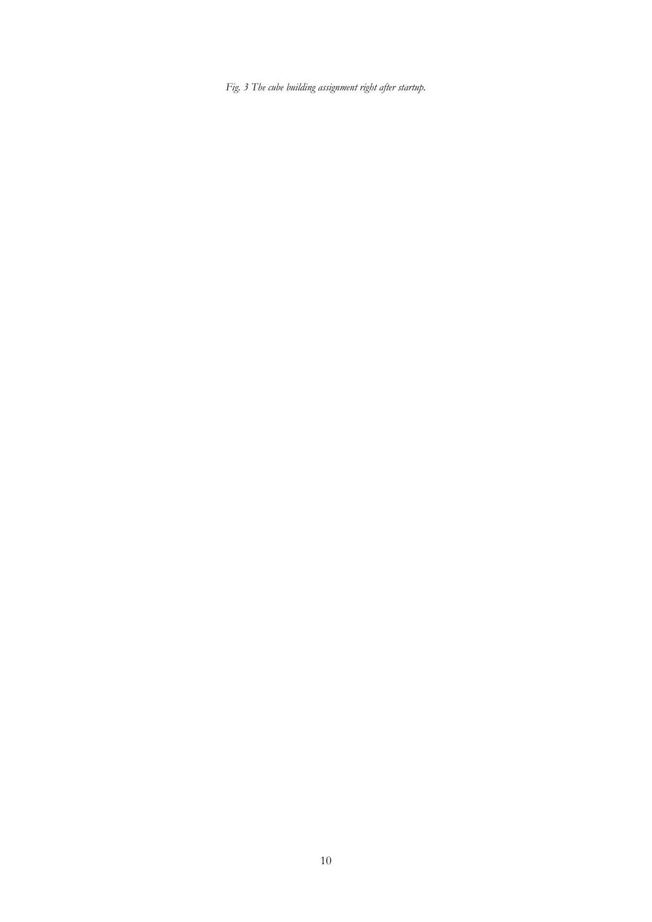*Fig. 3 The cube building assignment right after startup.*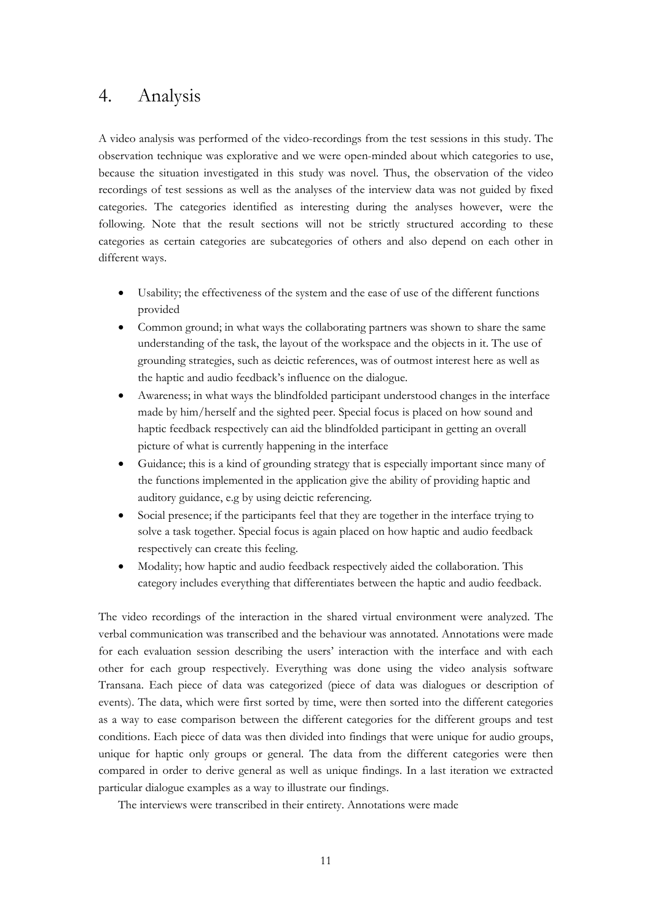# 4. Analysis

A video analysis was performed of the video-recordings from the test sessions in this study. The observation technique was explorative and we were open-minded about which categories to use, because the situation investigated in this study was novel. Thus, the observation of the video recordings of test sessions as well as the analyses of the interview data was not guided by fixed categories. The categories identified as interesting during the analyses however, were the following. Note that the result sections will not be strictly structured according to these categories as certain categories are subcategories of others and also depend on each other in different ways.

- Usability; the effectiveness of the system and the ease of use of the different functions provided
- Common ground; in what ways the collaborating partners was shown to share the same understanding of the task, the layout of the workspace and the objects in it. The use of grounding strategies, such as deictic references, was of outmost interest here as well as the haptic and audio feedback's influence on the dialogue.
- Awareness; in what ways the blindfolded participant understood changes in the interface made by him/herself and the sighted peer. Special focus is placed on how sound and haptic feedback respectively can aid the blindfolded participant in getting an overall picture of what is currently happening in the interface
- Guidance; this is a kind of grounding strategy that is especially important since many of the functions implemented in the application give the ability of providing haptic and auditory guidance, e.g by using deictic referencing.
- Social presence; if the participants feel that they are together in the interface trying to solve a task together. Special focus is again placed on how haptic and audio feedback respectively can create this feeling.
- Modality; how haptic and audio feedback respectively aided the collaboration. This category includes everything that differentiates between the haptic and audio feedback.

The video recordings of the interaction in the shared virtual environment were analyzed. The verbal communication was transcribed and the behaviour was annotated. Annotations were made for each evaluation session describing the users' interaction with the interface and with each other for each group respectively. Everything was done using the video analysis software Transana. Each piece of data was categorized (piece of data was dialogues or description of events). The data, which were first sorted by time, were then sorted into the different categories as a way to ease comparison between the different categories for the different groups and test conditions. Each piece of data was then divided into findings that were unique for audio groups, unique for haptic only groups or general. The data from the different categories were then compared in order to derive general as well as unique findings. In a last iteration we extracted particular dialogue examples as a way to illustrate our findings.

The interviews were transcribed in their entirety. Annotations were made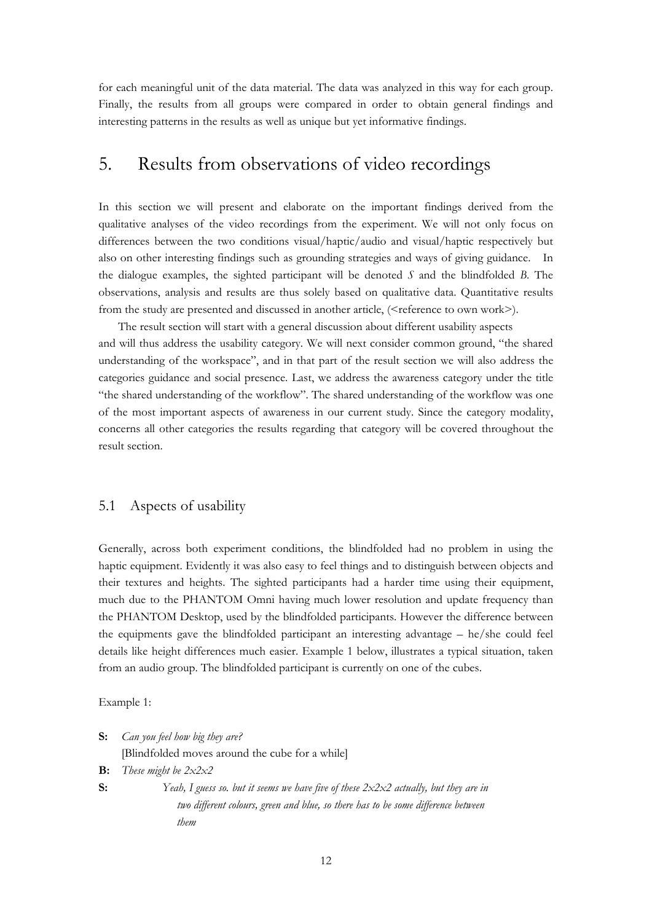for each meaningful unit of the data material. The data was analyzed in this way for each group. Finally, the results from all groups were compared in order to obtain general findings and interesting patterns in the results as well as unique but yet informative findings.

# 5. Results from observations of video recordings

In this section we will present and elaborate on the important findings derived from the qualitative analyses of the video recordings from the experiment. We will not only focus on differences between the two conditions visual/haptic/audio and visual/haptic respectively but also on other interesting findings such as grounding strategies and ways of giving guidance. In the dialogue examples, the sighted participant will be denoted *S* and the blindfolded *B*. The observations, analysis and results are thus solely based on qualitative data. Quantitative results from the study are presented and discussed in another article, (<reference to own work>).

The result section will start with a general discussion about different usability aspects and will thus address the usability category. We will next consider common ground, "the shared understanding of the workspace", and in that part of the result section we will also address the categories guidance and social presence. Last, we address the awareness category under the title "the shared understanding of the workflow". The shared understanding of the workflow was one of the most important aspects of awareness in our current study. Since the category modality, concerns all other categories the results regarding that category will be covered throughout the result section.

### 5.1 Aspects of usability

Generally, across both experiment conditions, the blindfolded had no problem in using the haptic equipment. Evidently it was also easy to feel things and to distinguish between objects and their textures and heights. The sighted participants had a harder time using their equipment, much due to the PHANTOM Omni having much lower resolution and update frequency than the PHANTOM Desktop, used by the blindfolded participants. However the difference between the equipments gave the blindfolded participant an interesting advantage – he/she could feel details like height differences much easier. Example 1 below, illustrates a typical situation, taken from an audio group. The blindfolded participant is currently on one of the cubes.

Example 1:

| S: | Can you feel how big they are?                                                         |
|----|----------------------------------------------------------------------------------------|
|    | [Blindfolded moves around the cube for a while]                                        |
| B: | These might be $2x2x2$                                                                 |
| S: | Yeah, I guess so. but it seems we have five of these $2x2x2$ actually, but they are in |
|    | two different colours, green and blue, so there has to be some difference between      |
|    | them                                                                                   |
|    |                                                                                        |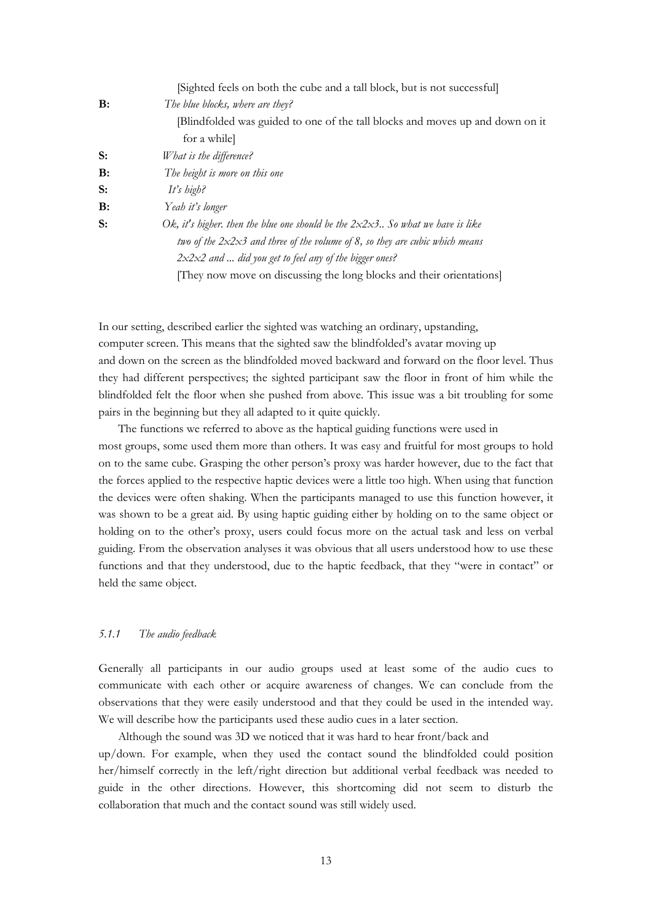|                | [Sighted feels on both the cube and a tall block, but is not successful]           |
|----------------|------------------------------------------------------------------------------------|
| $\mathbf{B}$ : | The blue blocks, where are they?                                                   |
|                | [Blindfolded was guided to one of the tall blocks and moves up and down on it      |
|                | for a while                                                                        |
| S:             | W hat is the difference?                                                           |
| B:             | The height is more on this one                                                     |
| S:             | It's high?                                                                         |
| B:             | Yeah it's longer                                                                   |
| S:             | Ok, it's higher, then the blue one should be the $2x2x3$ . So what we have is like |
|                | two of the $2x2x3$ and three of the volume of 8, so they are cubic which means     |
|                | $2x2x2$ and  did you get to feel any of the bigger ones?                           |
|                | [They now move on discussing the long blocks and their orientations]               |

In our setting, described earlier the sighted was watching an ordinary, upstanding, computer screen. This means that the sighted saw the blindfolded's avatar moving up and down on the screen as the blindfolded moved backward and forward on the floor level. Thus they had different perspectives; the sighted participant saw the floor in front of him while the blindfolded felt the floor when she pushed from above. This issue was a bit troubling for some pairs in the beginning but they all adapted to it quite quickly.

The functions we referred to above as the haptical guiding functions were used in most groups, some used them more than others. It was easy and fruitful for most groups to hold on to the same cube. Grasping the other person's proxy was harder however, due to the fact that the forces applied to the respective haptic devices were a little too high. When using that function the devices were often shaking. When the participants managed to use this function however, it was shown to be a great aid. By using haptic guiding either by holding on to the same object or holding on to the other's proxy, users could focus more on the actual task and less on verbal guiding. From the observation analyses it was obvious that all users understood how to use these functions and that they understood, due to the haptic feedback, that they "were in contact" or held the same object.

#### *5.1.1 The audio feedback*

Generally all participants in our audio groups used at least some of the audio cues to communicate with each other or acquire awareness of changes. We can conclude from the observations that they were easily understood and that they could be used in the intended way. We will describe how the participants used these audio cues in a later section.

Although the sound was 3D we noticed that it was hard to hear front/back and up/down. For example, when they used the contact sound the blindfolded could position her/himself correctly in the left/right direction but additional verbal feedback was needed to guide in the other directions. However, this shortcoming did not seem to disturb the collaboration that much and the contact sound was still widely used.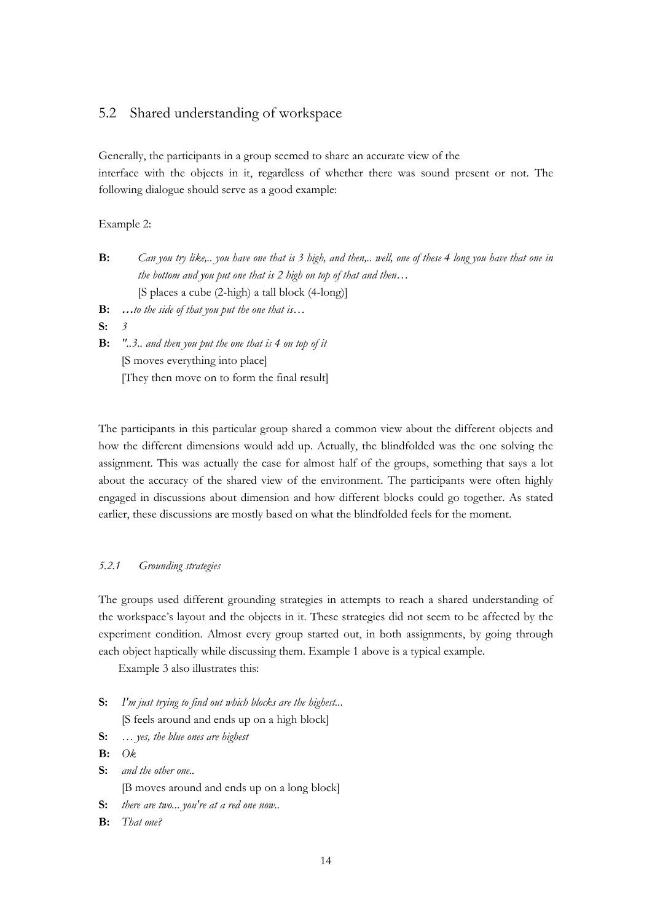# 5.2 Shared understanding of workspace

Generally, the participants in a group seemed to share an accurate view of the interface with the objects in it, regardless of whether there was sound present or not. The following dialogue should serve as a good example:

#### Example 2:

- **B:** *Can you try like,.. you have one that is 3 high, and then,.. well, one of these 4 long you have that one in the bottom and you put one that is 2 high on top of that and then…*  [S places a cube (2-high) a tall block (4-long)]
- **B: …***to the side of that you put the one that is…*
- **S:** *3*
- **B:** *"..3.. and then you put the one that is 4 on top of it*  [S moves everything into place] [They then move on to form the final result]

The participants in this particular group shared a common view about the different objects and how the different dimensions would add up. Actually, the blindfolded was the one solving the assignment. This was actually the case for almost half of the groups, something that says a lot about the accuracy of the shared view of the environment. The participants were often highly engaged in discussions about dimension and how different blocks could go together. As stated earlier, these discussions are mostly based on what the blindfolded feels for the moment.

#### *5.2.1 Grounding strategies*

The groups used different grounding strategies in attempts to reach a shared understanding of the workspace's layout and the objects in it. These strategies did not seem to be affected by the experiment condition. Almost every group started out, in both assignments, by going through each object haptically while discussing them. Example 1 above is a typical example.

Example 3 also illustrates this:

- **S:** *I'm just trying to find out which blocks are the highest...* [S feels around and ends up on a high block]
- **S:** *… yes, the blue ones are highest*
- **B:** *Ok*
- **S:** *and the other one..*

[B moves around and ends up on a long block]

- **S:** *there are two... you're at a red one now..*
- **B:** *That one?*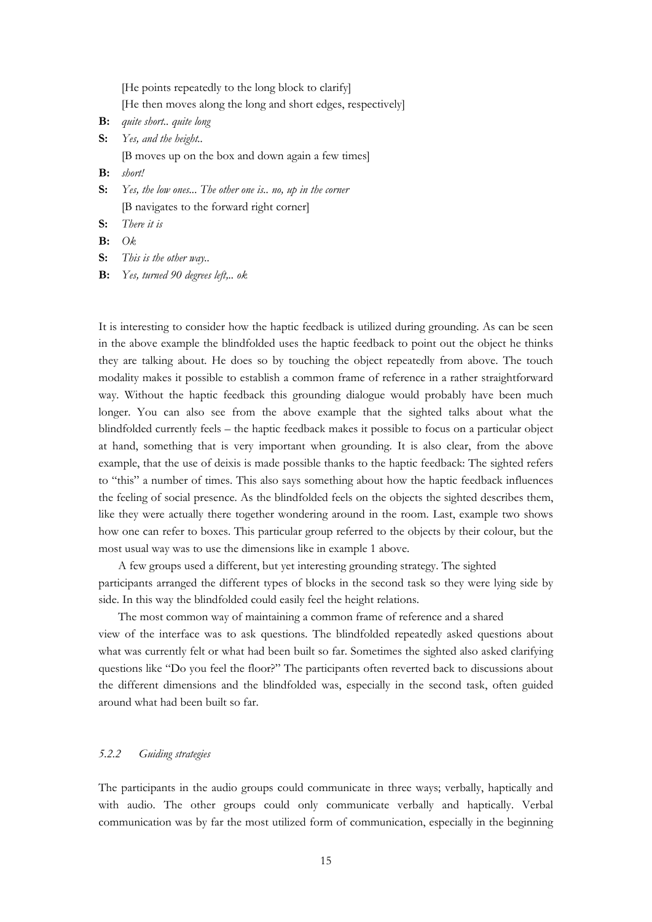[He points repeatedly to the long block to clarify] [He then moves along the long and short edges, respectively]

**B:** *quite short.. quite long*

**S:** *Yes, and the height..* 

[B moves up on the box and down again a few times]

- **B:** *short!*
- **S:** *Yes, the low ones... The other one is.. no, up in the corner*  [B navigates to the forward right corner]
- **S:** *There it is*

**B:** *Ok*

- **S:** *This is the other way..*
- **B:** *Yes, turned 90 degrees left,.. ok*

It is interesting to consider how the haptic feedback is utilized during grounding. As can be seen in the above example the blindfolded uses the haptic feedback to point out the object he thinks they are talking about. He does so by touching the object repeatedly from above. The touch modality makes it possible to establish a common frame of reference in a rather straightforward way. Without the haptic feedback this grounding dialogue would probably have been much longer. You can also see from the above example that the sighted talks about what the blindfolded currently feels – the haptic feedback makes it possible to focus on a particular object at hand, something that is very important when grounding. It is also clear, from the above example, that the use of deixis is made possible thanks to the haptic feedback: The sighted refers to "this" a number of times. This also says something about how the haptic feedback influences the feeling of social presence. As the blindfolded feels on the objects the sighted describes them, like they were actually there together wondering around in the room. Last, example two shows how one can refer to boxes. This particular group referred to the objects by their colour, but the most usual way was to use the dimensions like in example 1 above.

A few groups used a different, but yet interesting grounding strategy. The sighted participants arranged the different types of blocks in the second task so they were lying side by side. In this way the blindfolded could easily feel the height relations.

The most common way of maintaining a common frame of reference and a shared view of the interface was to ask questions. The blindfolded repeatedly asked questions about what was currently felt or what had been built so far. Sometimes the sighted also asked clarifying questions like "Do you feel the floor?" The participants often reverted back to discussions about the different dimensions and the blindfolded was, especially in the second task, often guided around what had been built so far.

### *5.2.2 Guiding strategies*

The participants in the audio groups could communicate in three ways; verbally, haptically and with audio. The other groups could only communicate verbally and haptically. Verbal communication was by far the most utilized form of communication, especially in the beginning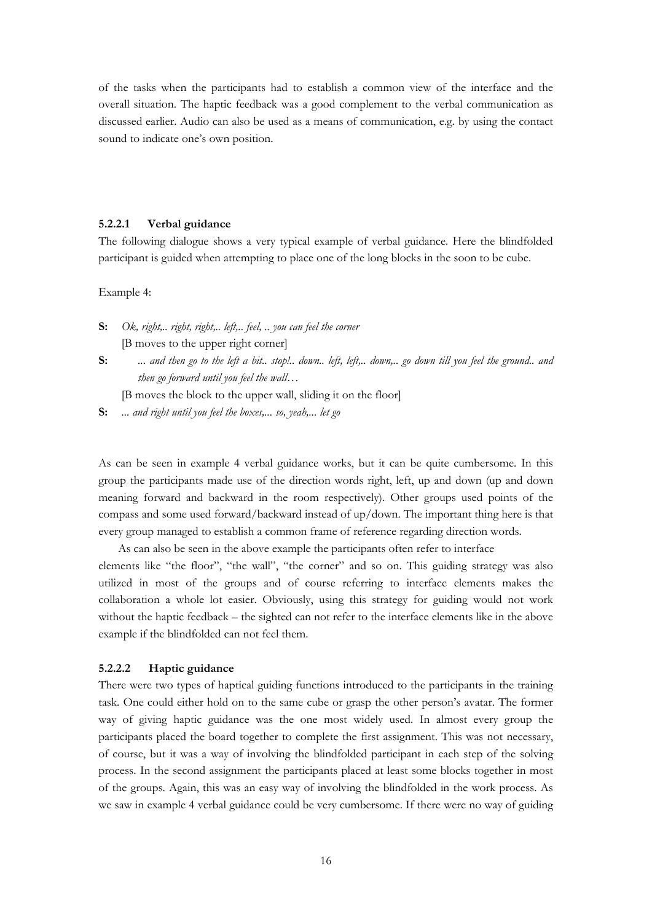of the tasks when the participants had to establish a common view of the interface and the overall situation. The haptic feedback was a good complement to the verbal communication as discussed earlier. Audio can also be used as a means of communication, e.g. by using the contact sound to indicate one's own position.

#### **5.2.2.1 Verbal guidance**

The following dialogue shows a very typical example of verbal guidance. Here the blindfolded participant is guided when attempting to place one of the long blocks in the soon to be cube.

Example 4:

- **S:** *Ok, right,.. right, right,.. left,.. feel, .. you can feel the corner*  [B moves to the upper right corner]
- **S:** *... and then go to the left a bit.. stop!.. down.. left, left,.. down,.. go down till you feel the ground.. and then go forward until you feel the wall…* 
	- [B moves the block to the upper wall, sliding it on the floor]
- **S:** *... and right until you feel the boxes,... so, yeah,... let go*

As can be seen in example 4 verbal guidance works, but it can be quite cumbersome. In this group the participants made use of the direction words right, left, up and down (up and down meaning forward and backward in the room respectively). Other groups used points of the compass and some used forward/backward instead of up/down. The important thing here is that every group managed to establish a common frame of reference regarding direction words.

As can also be seen in the above example the participants often refer to interface elements like "the floor", "the wall", "the corner" and so on. This guiding strategy was also utilized in most of the groups and of course referring to interface elements makes the collaboration a whole lot easier. Obviously, using this strategy for guiding would not work without the haptic feedback – the sighted can not refer to the interface elements like in the above example if the blindfolded can not feel them.

#### **5.2.2.2 Haptic guidance**

There were two types of haptical guiding functions introduced to the participants in the training task. One could either hold on to the same cube or grasp the other person's avatar. The former way of giving haptic guidance was the one most widely used. In almost every group the participants placed the board together to complete the first assignment. This was not necessary, of course, but it was a way of involving the blindfolded participant in each step of the solving process. In the second assignment the participants placed at least some blocks together in most of the groups. Again, this was an easy way of involving the blindfolded in the work process. As we saw in example 4 verbal guidance could be very cumbersome. If there were no way of guiding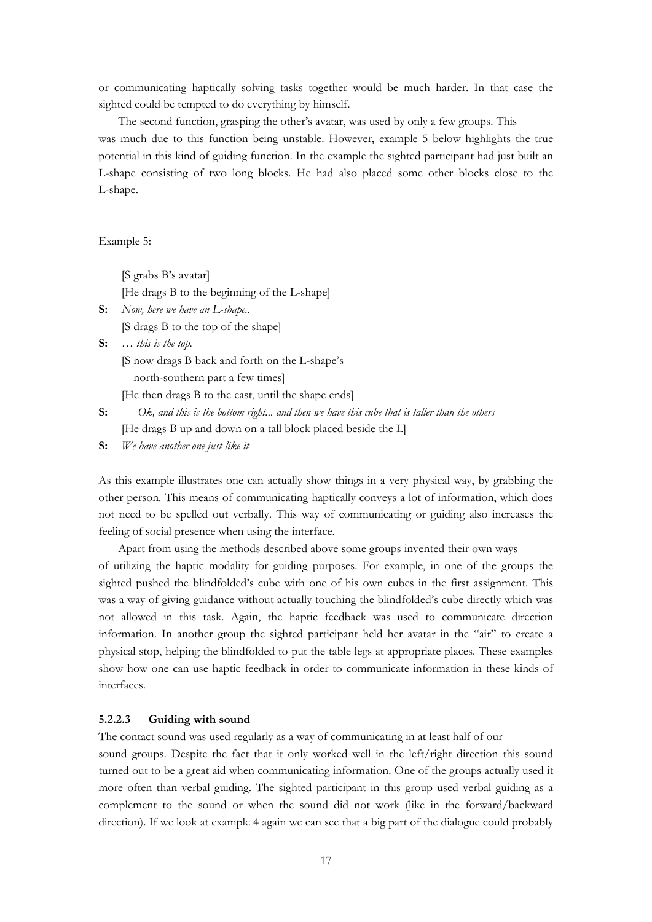or communicating haptically solving tasks together would be much harder. In that case the sighted could be tempted to do everything by himself.

The second function, grasping the other's avatar, was used by only a few groups. This was much due to this function being unstable. However, example 5 below highlights the true potential in this kind of guiding function. In the example the sighted participant had just built an L-shape consisting of two long blocks. He had also placed some other blocks close to the L-shape.

Example 5:

[S grabs B's avatar] [He drags B to the beginning of the L-shape]

**S:** *Now, here we have an L-shape..*  [S drags B to the top of the shape]

**S:** *… this is the top.* 

[S now drags B back and forth on the L-shape's

north-southern part a few times]

[He then drags B to the east, until the shape ends]

**S:** *Ok, and this is the bottom right... and then we have this cube that is taller than the others*  [He drags B up and down on a tall block placed beside the L]

**S:** *We have another one just like it*

As this example illustrates one can actually show things in a very physical way, by grabbing the other person. This means of communicating haptically conveys a lot of information, which does not need to be spelled out verbally. This way of communicating or guiding also increases the feeling of social presence when using the interface.

Apart from using the methods described above some groups invented their own ways of utilizing the haptic modality for guiding purposes. For example, in one of the groups the sighted pushed the blindfolded's cube with one of his own cubes in the first assignment. This was a way of giving guidance without actually touching the blindfolded's cube directly which was not allowed in this task. Again, the haptic feedback was used to communicate direction information. In another group the sighted participant held her avatar in the "air" to create a physical stop, helping the blindfolded to put the table legs at appropriate places. These examples show how one can use haptic feedback in order to communicate information in these kinds of interfaces.

#### **5.2.2.3 Guiding with sound**

The contact sound was used regularly as a way of communicating in at least half of our

sound groups. Despite the fact that it only worked well in the left/right direction this sound turned out to be a great aid when communicating information. One of the groups actually used it more often than verbal guiding. The sighted participant in this group used verbal guiding as a complement to the sound or when the sound did not work (like in the forward/backward direction). If we look at example 4 again we can see that a big part of the dialogue could probably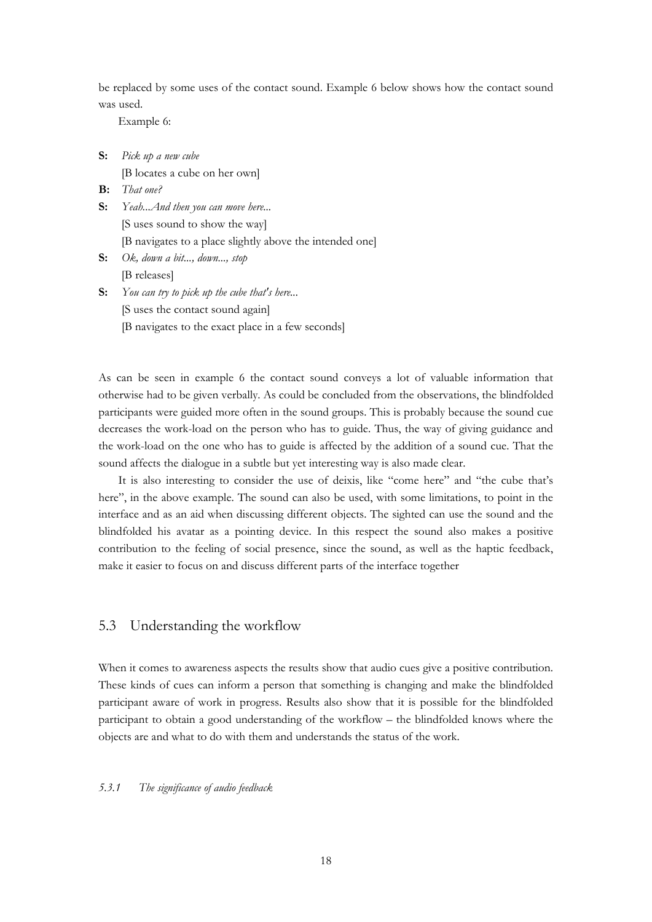be replaced by some uses of the contact sound. Example 6 below shows how the contact sound was used.

Example 6:

- **S:** *Pick up a new cube*  [B locates a cube on her own] **B:** *That one?*
- 
- **S:** *Yeah...And then you can move here...*  [S uses sound to show the way] [B navigates to a place slightly above the intended one]
- **S:** *Ok, down a bit..., down..., stop* [B releases]
- **S:** *You can try to pick up the cube that's here...* [S uses the contact sound again] [B navigates to the exact place in a few seconds]

As can be seen in example 6 the contact sound conveys a lot of valuable information that otherwise had to be given verbally. As could be concluded from the observations, the blindfolded participants were guided more often in the sound groups. This is probably because the sound cue decreases the work-load on the person who has to guide. Thus, the way of giving guidance and the work-load on the one who has to guide is affected by the addition of a sound cue. That the sound affects the dialogue in a subtle but yet interesting way is also made clear.

It is also interesting to consider the use of deixis, like "come here" and "the cube that's here", in the above example. The sound can also be used, with some limitations, to point in the interface and as an aid when discussing different objects. The sighted can use the sound and the blindfolded his avatar as a pointing device. In this respect the sound also makes a positive contribution to the feeling of social presence, since the sound, as well as the haptic feedback, make it easier to focus on and discuss different parts of the interface together

# 5.3 Understanding the workflow

When it comes to awareness aspects the results show that audio cues give a positive contribution. These kinds of cues can inform a person that something is changing and make the blindfolded participant aware of work in progress. Results also show that it is possible for the blindfolded participant to obtain a good understanding of the workflow – the blindfolded knows where the objects are and what to do with them and understands the status of the work.

#### *5.3.1 The significance of audio feedback*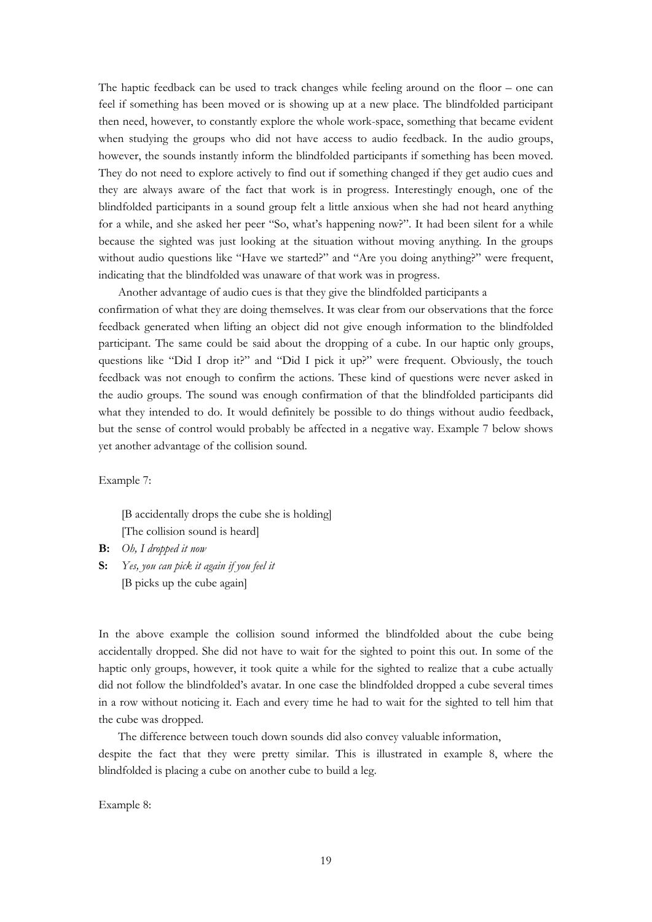The haptic feedback can be used to track changes while feeling around on the floor – one can feel if something has been moved or is showing up at a new place. The blindfolded participant then need, however, to constantly explore the whole work-space, something that became evident when studying the groups who did not have access to audio feedback. In the audio groups, however, the sounds instantly inform the blindfolded participants if something has been moved. They do not need to explore actively to find out if something changed if they get audio cues and they are always aware of the fact that work is in progress. Interestingly enough, one of the blindfolded participants in a sound group felt a little anxious when she had not heard anything for a while, and she asked her peer "So, what's happening now?". It had been silent for a while because the sighted was just looking at the situation without moving anything. In the groups without audio questions like "Have we started?" and "Are you doing anything?" were frequent, indicating that the blindfolded was unaware of that work was in progress.

Another advantage of audio cues is that they give the blindfolded participants a confirmation of what they are doing themselves. It was clear from our observations that the force feedback generated when lifting an object did not give enough information to the blindfolded participant. The same could be said about the dropping of a cube. In our haptic only groups, questions like "Did I drop it?" and "Did I pick it up?" were frequent. Obviously, the touch feedback was not enough to confirm the actions. These kind of questions were never asked in the audio groups. The sound was enough confirmation of that the blindfolded participants did what they intended to do. It would definitely be possible to do things without audio feedback, but the sense of control would probably be affected in a negative way. Example 7 below shows yet another advantage of the collision sound.

Example 7:

 [B accidentally drops the cube she is holding] [The collision sound is heard]

**B:** *Oh, I dropped it now* 

**S:** *Yes, you can pick it again if you feel it*  [B picks up the cube again]

In the above example the collision sound informed the blindfolded about the cube being accidentally dropped. She did not have to wait for the sighted to point this out. In some of the haptic only groups, however, it took quite a while for the sighted to realize that a cube actually did not follow the blindfolded's avatar. In one case the blindfolded dropped a cube several times in a row without noticing it. Each and every time he had to wait for the sighted to tell him that the cube was dropped.

The difference between touch down sounds did also convey valuable information, despite the fact that they were pretty similar. This is illustrated in example 8, where the blindfolded is placing a cube on another cube to build a leg.

Example 8: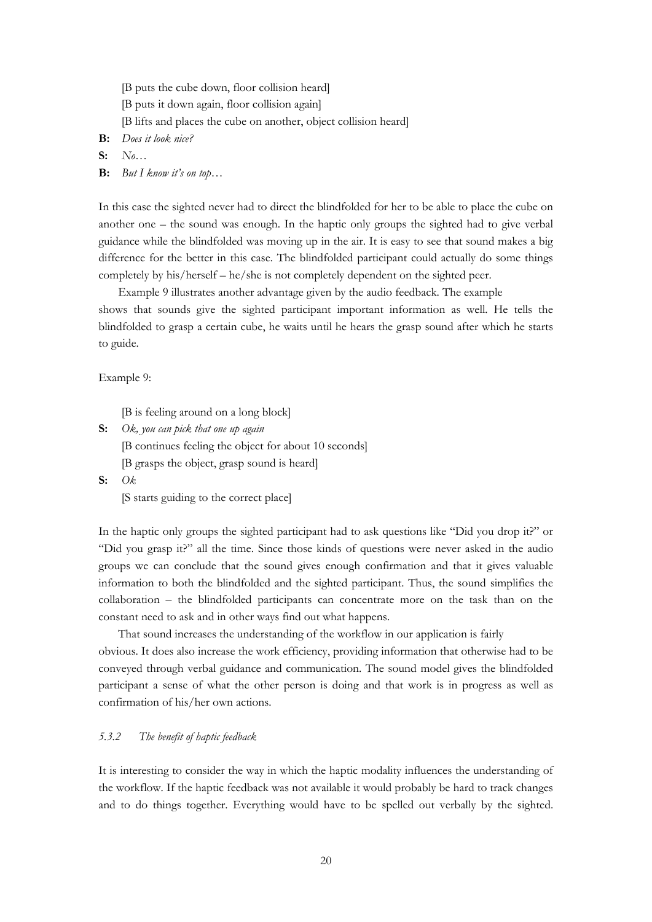- [B puts the cube down, floor collision heard]
- [B puts it down again, floor collision again]
- [B lifts and places the cube on another, object collision heard]
- **B:** *Does it look nice?*

**S:** *No…* 

**B:** *But I know it's on top…* 

In this case the sighted never had to direct the blindfolded for her to be able to place the cube on another one – the sound was enough. In the haptic only groups the sighted had to give verbal guidance while the blindfolded was moving up in the air. It is easy to see that sound makes a big difference for the better in this case. The blindfolded participant could actually do some things completely by his/herself – he/she is not completely dependent on the sighted peer.

Example 9 illustrates another advantage given by the audio feedback. The example shows that sounds give the sighted participant important information as well. He tells the blindfolded to grasp a certain cube, he waits until he hears the grasp sound after which he starts to guide.

#### Example 9:

- [B is feeling around on a long block]
- **S:** *Ok, you can pick that one up again* [B continues feeling the object for about 10 seconds]

[B grasps the object, grasp sound is heard]

**S:** *Ok* 

[S starts guiding to the correct place]

In the haptic only groups the sighted participant had to ask questions like "Did you drop it?" or "Did you grasp it?" all the time. Since those kinds of questions were never asked in the audio groups we can conclude that the sound gives enough confirmation and that it gives valuable information to both the blindfolded and the sighted participant. Thus, the sound simplifies the collaboration – the blindfolded participants can concentrate more on the task than on the constant need to ask and in other ways find out what happens.

That sound increases the understanding of the workflow in our application is fairly obvious. It does also increase the work efficiency, providing information that otherwise had to be conveyed through verbal guidance and communication. The sound model gives the blindfolded participant a sense of what the other person is doing and that work is in progress as well as confirmation of his/her own actions.

### *5.3.2 The benefit of haptic feedback*

It is interesting to consider the way in which the haptic modality influences the understanding of the workflow. If the haptic feedback was not available it would probably be hard to track changes and to do things together. Everything would have to be spelled out verbally by the sighted.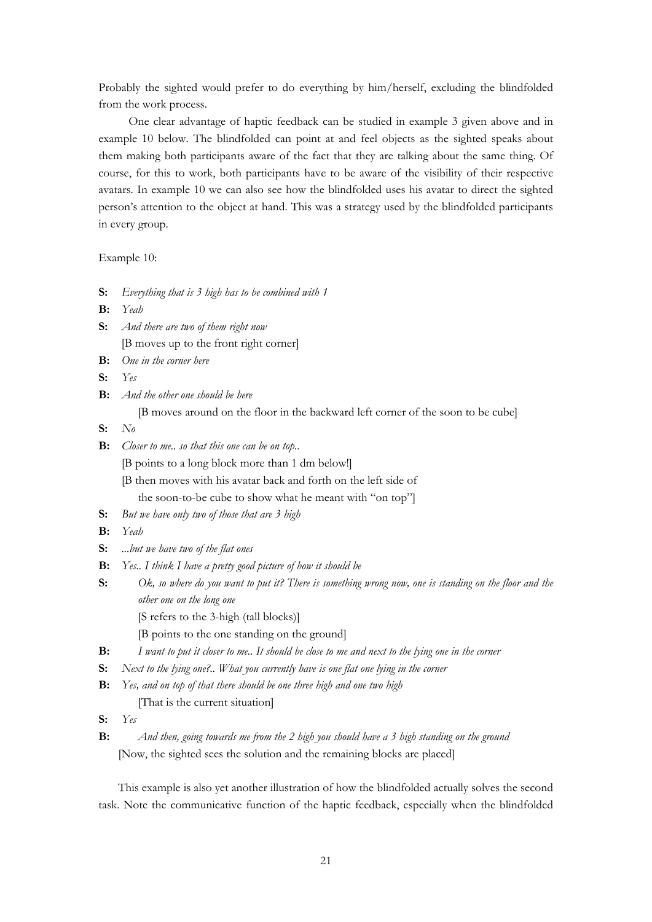Probably the sighted would prefer to do everything by him/herself, excluding the blindfolded from the work process.

 One clear advantage of haptic feedback can be studied in example 3 given above and in example 10 below. The blindfolded can point at and feel objects as the sighted speaks about them making both participants aware of the fact that they are talking about the same thing. Of course, for this to work, both participants have to be aware of the visibility of their respective avatars. In example 10 we can also see how the blindfolded uses his avatar to direct the sighted person's attention to the object at hand. This was a strategy used by the blindfolded participants in every group.

Example 10:

- **S:** *Everything that is 3 high has to be combined with 1*
- **B:** *Yeah*
- **S:** *And there are two of them right now*  [B moves up to the front right corner]
- **B:** *One in the corner here*
- **S:** *Yes*
- **B:** *And the other one should be here*

[B moves around on the floor in the backward left corner of the soon to be cube]

**S:** *No* 

- **B:** *Closer to me.. so that this one can be on top..*
	- [B points to a long block more than 1 dm below!]
	- [B then moves with his avatar back and forth on the left side of
	- the soon-to-be cube to show what he meant with "on top"]
- **S:** *But we have only two of those that are 3 high*
- **B:** *Yeah*
- **S:** *...but we have two of the flat ones*
- **B:** *Yes.. I think I have a pretty good picture of how it should be*
- **S:** *Ok, so where do you want to put it? There is something wrong now, one is standing on the floor and the other one on the long one* 
	- [S refers to the 3-high (tall blocks)]
	- [B points to the one standing on the ground]
- **B:** *I want to put it closer to me.. It should be close to me and next to the lying one in the corner*
- **S:** *Next to the lying one?.. What you currently have is one flat one lying in the corner*
- **B:** *Yes, and on top of that there should be one three high and one two high*

[That is the current situation]

- **S:** *Yes*
- **B:** *And then, going towards me from the 2 high you should have a 3 high standing on the ground*  [Now, the sighted sees the solution and the remaining blocks are placed]

This example is also yet another illustration of how the blindfolded actually solves the second task. Note the communicative function of the haptic feedback, especially when the blindfolded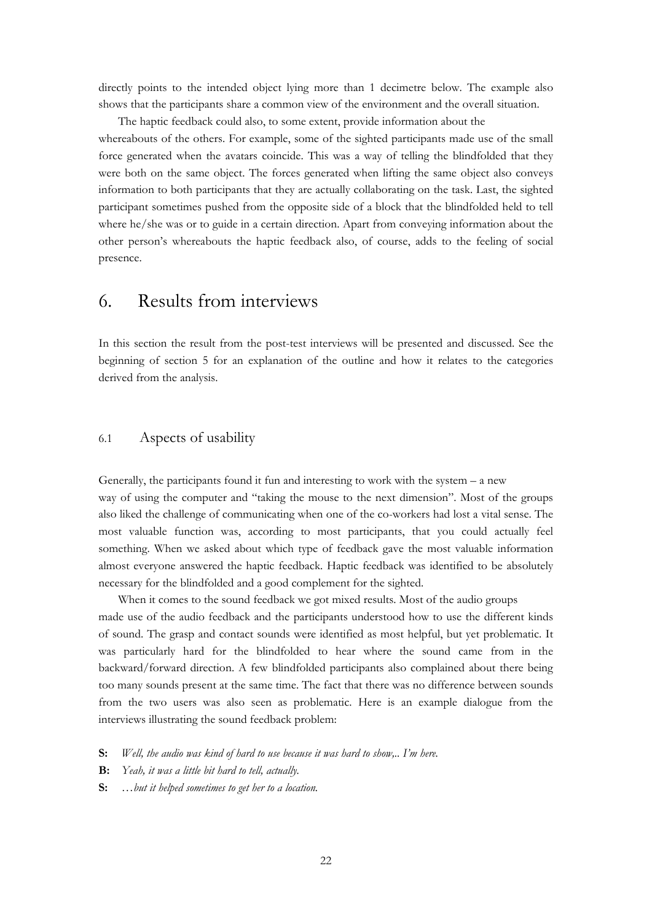directly points to the intended object lying more than 1 decimetre below. The example also shows that the participants share a common view of the environment and the overall situation.

The haptic feedback could also, to some extent, provide information about the whereabouts of the others. For example, some of the sighted participants made use of the small force generated when the avatars coincide. This was a way of telling the blindfolded that they were both on the same object. The forces generated when lifting the same object also conveys information to both participants that they are actually collaborating on the task. Last, the sighted participant sometimes pushed from the opposite side of a block that the blindfolded held to tell where he/she was or to guide in a certain direction. Apart from conveying information about the other person's whereabouts the haptic feedback also, of course, adds to the feeling of social presence.

# 6. Results from interviews

In this section the result from the post-test interviews will be presented and discussed. See the beginning of section 5 for an explanation of the outline and how it relates to the categories derived from the analysis.

# 6.1 Aspects of usability

Generally, the participants found it fun and interesting to work with the system – a new way of using the computer and "taking the mouse to the next dimension". Most of the groups also liked the challenge of communicating when one of the co-workers had lost a vital sense. The most valuable function was, according to most participants, that you could actually feel something. When we asked about which type of feedback gave the most valuable information almost everyone answered the haptic feedback. Haptic feedback was identified to be absolutely necessary for the blindfolded and a good complement for the sighted.

When it comes to the sound feedback we got mixed results. Most of the audio groups made use of the audio feedback and the participants understood how to use the different kinds of sound. The grasp and contact sounds were identified as most helpful, but yet problematic. It was particularly hard for the blindfolded to hear where the sound came from in the backward/forward direction. A few blindfolded participants also complained about there being too many sounds present at the same time. The fact that there was no difference between sounds from the two users was also seen as problematic. Here is an example dialogue from the interviews illustrating the sound feedback problem:

- **S:** *Well, the audio was kind of hard to use because it was hard to show,.. I'm here.*
- **B:** *Yeah, it was a little bit hard to tell, actually.*
- **S:** *…but it helped sometimes to get her to a location.*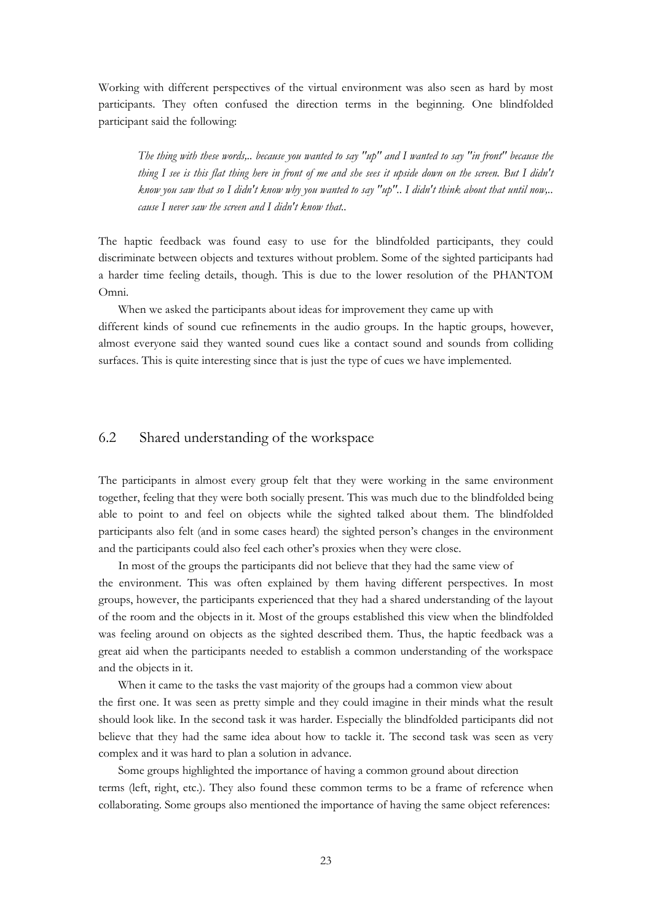Working with different perspectives of the virtual environment was also seen as hard by most participants. They often confused the direction terms in the beginning. One blindfolded participant said the following:

*The thing with these words,.. because you wanted to say "up" and I wanted to say "in front" because the thing I see is this flat thing here in front of me and she sees it upside down on the screen. But I didn't know you saw that so I didn't know why you wanted to say "up".. I didn't think about that until now,.. cause I never saw the screen and I didn't know that..*

The haptic feedback was found easy to use for the blindfolded participants, they could discriminate between objects and textures without problem. Some of the sighted participants had a harder time feeling details, though. This is due to the lower resolution of the PHANTOM Omni.

When we asked the participants about ideas for improvement they came up with different kinds of sound cue refinements in the audio groups. In the haptic groups, however, almost everyone said they wanted sound cues like a contact sound and sounds from colliding surfaces. This is quite interesting since that is just the type of cues we have implemented.

# 6.2 Shared understanding of the workspace

The participants in almost every group felt that they were working in the same environment together, feeling that they were both socially present. This was much due to the blindfolded being able to point to and feel on objects while the sighted talked about them. The blindfolded participants also felt (and in some cases heard) the sighted person's changes in the environment and the participants could also feel each other's proxies when they were close.

In most of the groups the participants did not believe that they had the same view of the environment. This was often explained by them having different perspectives. In most groups, however, the participants experienced that they had a shared understanding of the layout of the room and the objects in it. Most of the groups established this view when the blindfolded was feeling around on objects as the sighted described them. Thus, the haptic feedback was a great aid when the participants needed to establish a common understanding of the workspace and the objects in it.

When it came to the tasks the vast majority of the groups had a common view about the first one. It was seen as pretty simple and they could imagine in their minds what the result should look like. In the second task it was harder. Especially the blindfolded participants did not believe that they had the same idea about how to tackle it. The second task was seen as very complex and it was hard to plan a solution in advance.

Some groups highlighted the importance of having a common ground about direction terms (left, right, etc.). They also found these common terms to be a frame of reference when collaborating. Some groups also mentioned the importance of having the same object references: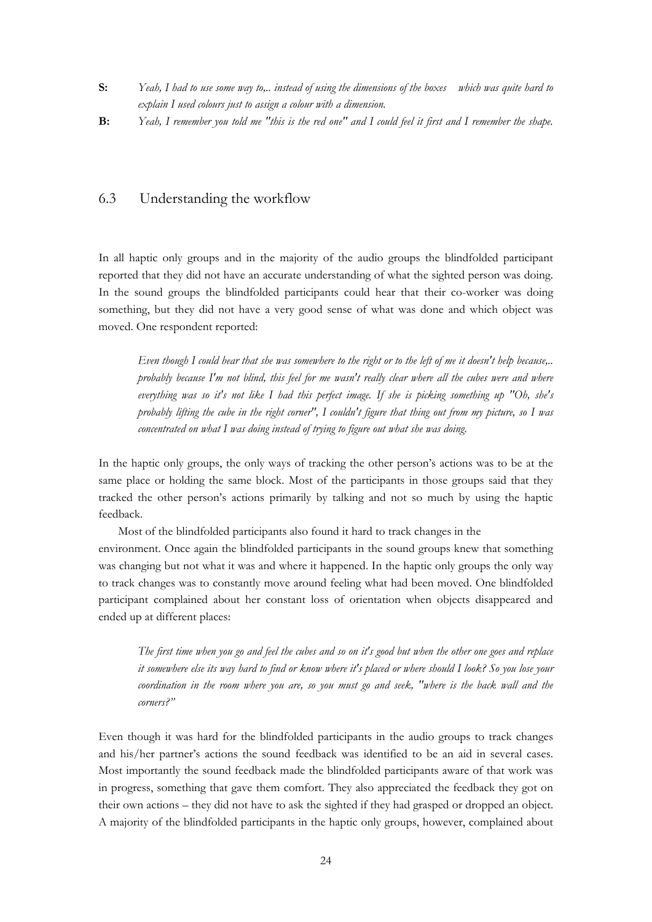- **S:** *Yeah, I had to use some way to,.. instead of using the dimensions of the boxes which was quite hard to explain I used colours just to assign a colour with a dimension.*
- **B:** *Yeah, I remember you told me "this is the red one" and I could feel it first and I remember the shape.*

### 6.3 Understanding the workflow

In all haptic only groups and in the majority of the audio groups the blindfolded participant reported that they did not have an accurate understanding of what the sighted person was doing. In the sound groups the blindfolded participants could hear that their co-worker was doing something, but they did not have a very good sense of what was done and which object was moved. One respondent reported:

*Even though I could hear that she was somewhere to the right or to the left of me it doesn't help because,.. probably because I'm not blind, this feel for me wasn't really clear where all the cubes were and where everything was so it's not like I had this perfect image. If she is picking something up "Oh, she's probably lifting the cube in the right corner", I couldn't figure that thing out from my picture, so I was concentrated on what I was doing instead of trying to figure out what she was doing.* 

In the haptic only groups, the only ways of tracking the other person's actions was to be at the same place or holding the same block. Most of the participants in those groups said that they tracked the other person's actions primarily by talking and not so much by using the haptic feedback.

Most of the blindfolded participants also found it hard to track changes in the environment. Once again the blindfolded participants in the sound groups knew that something was changing but not what it was and where it happened. In the haptic only groups the only way to track changes was to constantly move around feeling what had been moved. One blindfolded participant complained about her constant loss of orientation when objects disappeared and ended up at different places:

*The first time when you go and feel the cubes and so on it's good but when the other one goes and replace it somewhere else its way hard to find or know where it's placed or where should I look? So you lose your coordination in the room where you are, so you must go and seek, "where is the back wall and the corners?"* 

Even though it was hard for the blindfolded participants in the audio groups to track changes and his/her partner's actions the sound feedback was identified to be an aid in several cases. Most importantly the sound feedback made the blindfolded participants aware of that work was in progress, something that gave them comfort. They also appreciated the feedback they got on their own actions – they did not have to ask the sighted if they had grasped or dropped an object. A majority of the blindfolded participants in the haptic only groups, however, complained about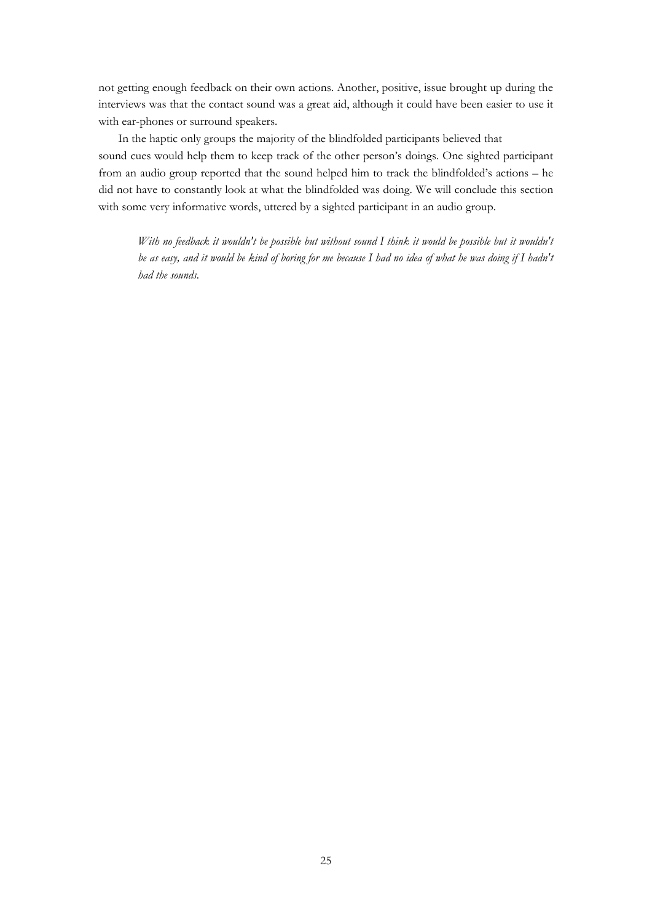not getting enough feedback on their own actions. Another, positive, issue brought up during the interviews was that the contact sound was a great aid, although it could have been easier to use it with ear-phones or surround speakers.

In the haptic only groups the majority of the blindfolded participants believed that sound cues would help them to keep track of the other person's doings. One sighted participant from an audio group reported that the sound helped him to track the blindfolded's actions – he did not have to constantly look at what the blindfolded was doing. We will conclude this section with some very informative words, uttered by a sighted participant in an audio group.

*With no feedback it wouldn't be possible but without sound I think it would be possible but it wouldn't be as easy, and it would be kind of boring for me because I had no idea of what he was doing if I hadn't had the sounds.*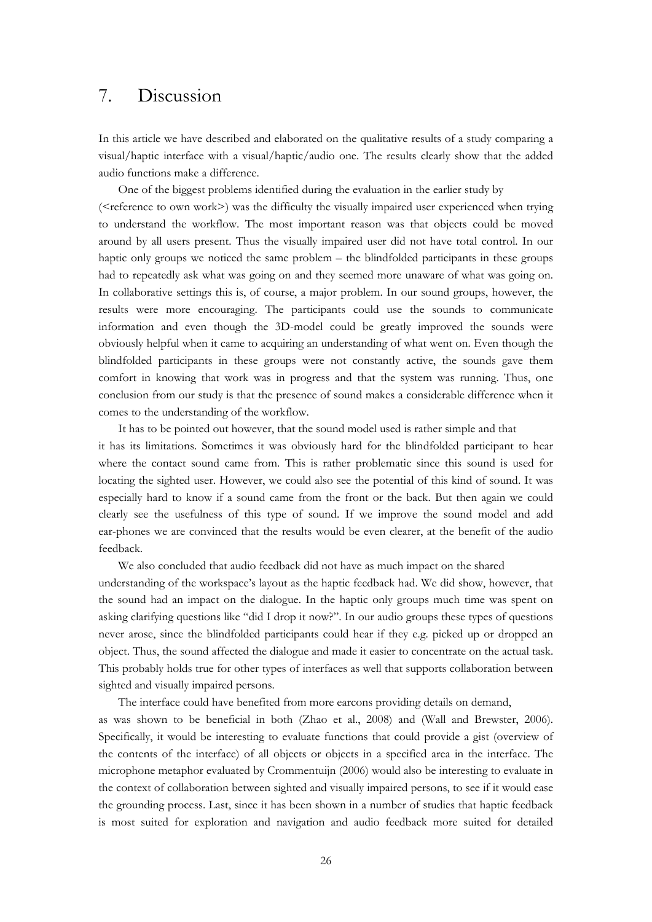# 7. Discussion

In this article we have described and elaborated on the qualitative results of a study comparing a visual/haptic interface with a visual/haptic/audio one. The results clearly show that the added audio functions make a difference.

One of the biggest problems identified during the evaluation in the earlier study by (<reference to own work>) was the difficulty the visually impaired user experienced when trying to understand the workflow. The most important reason was that objects could be moved around by all users present. Thus the visually impaired user did not have total control. In our haptic only groups we noticed the same problem – the blindfolded participants in these groups had to repeatedly ask what was going on and they seemed more unaware of what was going on. In collaborative settings this is, of course, a major problem. In our sound groups, however, the results were more encouraging. The participants could use the sounds to communicate information and even though the 3D-model could be greatly improved the sounds were obviously helpful when it came to acquiring an understanding of what went on. Even though the blindfolded participants in these groups were not constantly active, the sounds gave them comfort in knowing that work was in progress and that the system was running. Thus, one conclusion from our study is that the presence of sound makes a considerable difference when it comes to the understanding of the workflow.

It has to be pointed out however, that the sound model used is rather simple and that it has its limitations. Sometimes it was obviously hard for the blindfolded participant to hear where the contact sound came from. This is rather problematic since this sound is used for locating the sighted user. However, we could also see the potential of this kind of sound. It was especially hard to know if a sound came from the front or the back. But then again we could clearly see the usefulness of this type of sound. If we improve the sound model and add ear-phones we are convinced that the results would be even clearer, at the benefit of the audio feedback.

We also concluded that audio feedback did not have as much impact on the shared understanding of the workspace's layout as the haptic feedback had. We did show, however, that the sound had an impact on the dialogue. In the haptic only groups much time was spent on asking clarifying questions like "did I drop it now?". In our audio groups these types of questions never arose, since the blindfolded participants could hear if they e.g. picked up or dropped an object. Thus, the sound affected the dialogue and made it easier to concentrate on the actual task. This probably holds true for other types of interfaces as well that supports collaboration between sighted and visually impaired persons.

The interface could have benefited from more earcons providing details on demand, as was shown to be beneficial in both (Zhao et al., 2008) and (Wall and Brewster, 2006). Specifically, it would be interesting to evaluate functions that could provide a gist (overview of the contents of the interface) of all objects or objects in a specified area in the interface. The microphone metaphor evaluated by Crommentuijn (2006) would also be interesting to evaluate in the context of collaboration between sighted and visually impaired persons, to see if it would ease the grounding process. Last, since it has been shown in a number of studies that haptic feedback is most suited for exploration and navigation and audio feedback more suited for detailed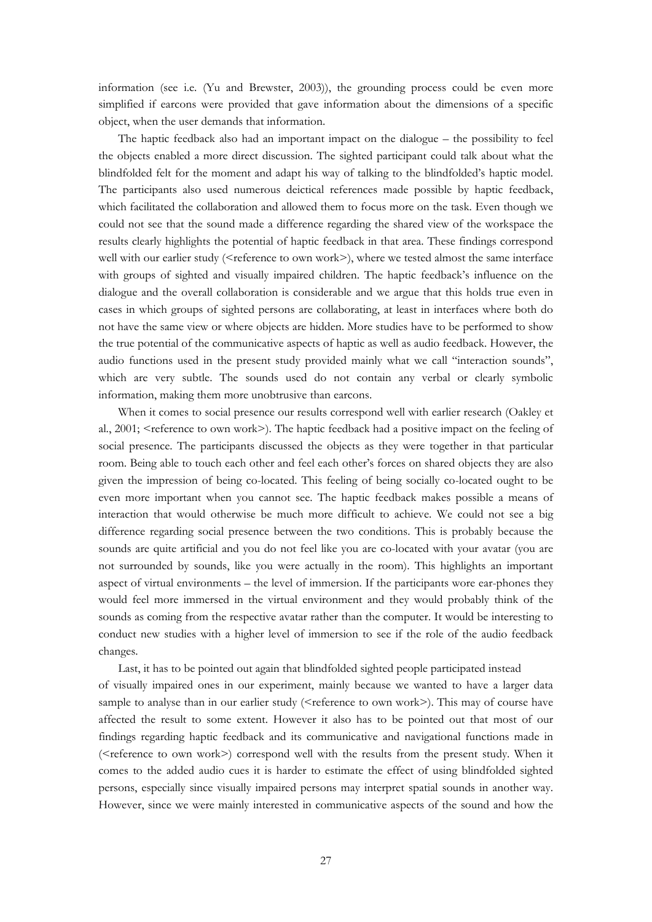information (see i.e. (Yu and Brewster, 2003)), the grounding process could be even more simplified if earcons were provided that gave information about the dimensions of a specific object, when the user demands that information.

The haptic feedback also had an important impact on the dialogue – the possibility to feel the objects enabled a more direct discussion. The sighted participant could talk about what the blindfolded felt for the moment and adapt his way of talking to the blindfolded's haptic model. The participants also used numerous deictical references made possible by haptic feedback, which facilitated the collaboration and allowed them to focus more on the task. Even though we could not see that the sound made a difference regarding the shared view of the workspace the results clearly highlights the potential of haptic feedback in that area. These findings correspond well with our earlier study (<reference to own work>), where we tested almost the same interface with groups of sighted and visually impaired children. The haptic feedback's influence on the dialogue and the overall collaboration is considerable and we argue that this holds true even in cases in which groups of sighted persons are collaborating, at least in interfaces where both do not have the same view or where objects are hidden. More studies have to be performed to show the true potential of the communicative aspects of haptic as well as audio feedback. However, the audio functions used in the present study provided mainly what we call "interaction sounds", which are very subtle. The sounds used do not contain any verbal or clearly symbolic information, making them more unobtrusive than earcons.

When it comes to social presence our results correspond well with earlier research (Oakley et al., 2001; <reference to own work>). The haptic feedback had a positive impact on the feeling of social presence. The participants discussed the objects as they were together in that particular room. Being able to touch each other and feel each other's forces on shared objects they are also given the impression of being co-located. This feeling of being socially co-located ought to be even more important when you cannot see. The haptic feedback makes possible a means of interaction that would otherwise be much more difficult to achieve. We could not see a big difference regarding social presence between the two conditions. This is probably because the sounds are quite artificial and you do not feel like you are co-located with your avatar (you are not surrounded by sounds, like you were actually in the room). This highlights an important aspect of virtual environments – the level of immersion. If the participants wore ear-phones they would feel more immersed in the virtual environment and they would probably think of the sounds as coming from the respective avatar rather than the computer. It would be interesting to conduct new studies with a higher level of immersion to see if the role of the audio feedback changes.

Last, it has to be pointed out again that blindfolded sighted people participated instead of visually impaired ones in our experiment, mainly because we wanted to have a larger data sample to analyse than in our earlier study (<reference to own work>). This may of course have affected the result to some extent. However it also has to be pointed out that most of our findings regarding haptic feedback and its communicative and navigational functions made in (<reference to own work>) correspond well with the results from the present study. When it comes to the added audio cues it is harder to estimate the effect of using blindfolded sighted persons, especially since visually impaired persons may interpret spatial sounds in another way. However, since we were mainly interested in communicative aspects of the sound and how the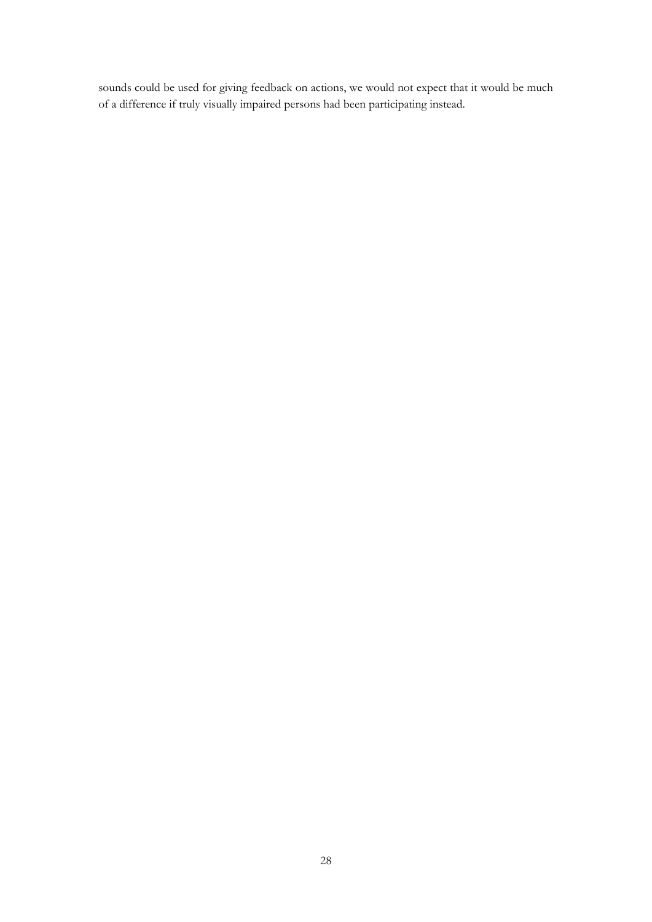sounds could be used for giving feedback on actions, we would not expect that it would be much of a difference if truly visually impaired persons had been participating instead.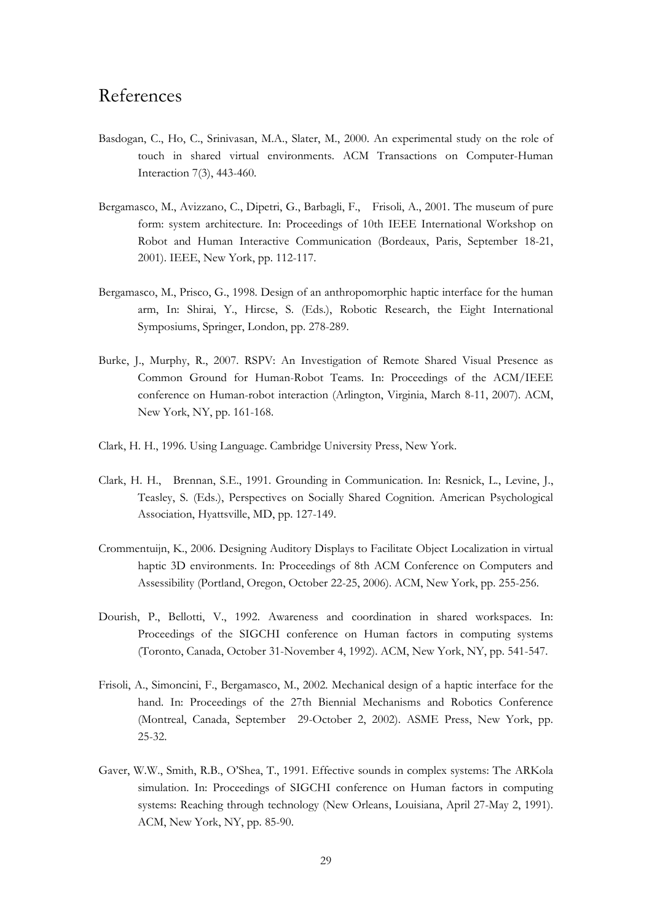# References

- Basdogan, C., Ho, C., Srinivasan, M.A., Slater, M., 2000. An experimental study on the role of touch in shared virtual environments. ACM Transactions on Computer-Human Interaction 7(3), 443-460.
- Bergamasco, M., Avizzano, C., Dipetri, G., Barbagli, F., Frisoli, A., 2001. The museum of pure form: system architecture. In: Proceedings of 10th IEEE International Workshop on Robot and Human Interactive Communication (Bordeaux, Paris, September 18-21, 2001). IEEE, New York, pp. 112-117.
- Bergamasco, M., Prisco, G., 1998. Design of an anthropomorphic haptic interface for the human arm, In: Shirai, Y., Hircse, S. (Eds.), Robotic Research, the Eight International Symposiums, Springer, London, pp. 278-289.
- Burke, J., Murphy, R., 2007. RSPV: An Investigation of Remote Shared Visual Presence as Common Ground for Human-Robot Teams. In: Proceedings of the ACM/IEEE conference on Human-robot interaction (Arlington, Virginia, March 8-11, 2007). ACM, New York, NY, pp. 161-168.
- Clark, H. H., 1996. Using Language. Cambridge University Press, New York.
- Clark, H. H., Brennan, S.E., 1991. Grounding in Communication. In: Resnick, L., Levine, J., Teasley, S. (Eds.), Perspectives on Socially Shared Cognition. American Psychological Association, Hyattsville, MD, pp. 127-149.
- Crommentuijn, K., 2006. Designing Auditory Displays to Facilitate Object Localization in virtual haptic 3D environments. In: Proceedings of 8th ACM Conference on Computers and Assessibility (Portland, Oregon, October 22-25, 2006). ACM, New York, pp. 255-256.
- Dourish, P., Bellotti, V., 1992. Awareness and coordination in shared workspaces. In: Proceedings of the SIGCHI conference on Human factors in computing systems (Toronto, Canada, October 31-November 4, 1992). ACM, New York, NY, pp. 541-547.
- Frisoli, A., Simoncini, F., Bergamasco, M., 2002. Mechanical design of a haptic interface for the hand. In: Proceedings of the 27th Biennial Mechanisms and Robotics Conference (Montreal, Canada, September 29-October 2, 2002). ASME Press, New York, pp. 25-32.
- Gaver, W.W., Smith, R.B., O'Shea, T., 1991. Effective sounds in complex systems: The ARKola simulation. In: Proceedings of SIGCHI conference on Human factors in computing systems: Reaching through technology (New Orleans, Louisiana, April 27-May 2, 1991). ACM, New York, NY, pp. 85-90.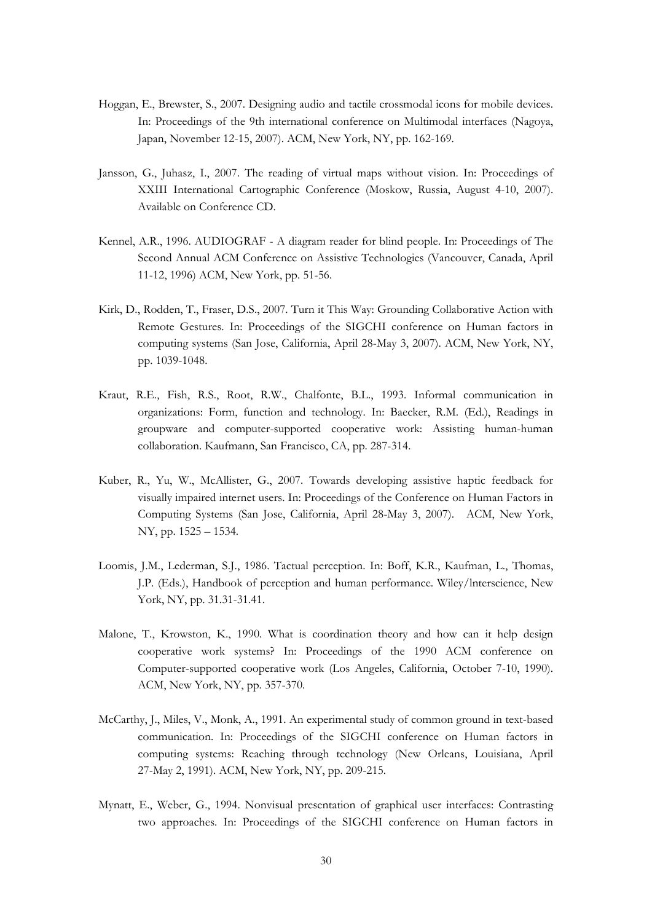- Hoggan, E., Brewster, S., 2007. Designing audio and tactile crossmodal icons for mobile devices. In: Proceedings of the 9th international conference on Multimodal interfaces (Nagoya, Japan, November 12-15, 2007). ACM, New York, NY, pp. 162-169.
- Jansson, G., Juhasz, I., 2007. The reading of virtual maps without vision. In: Proceedings of XXIII International Cartographic Conference (Moskow, Russia, August 4-10, 2007). Available on Conference CD.
- Kennel, A.R., 1996. AUDIOGRAF A diagram reader for blind people. In: Proceedings of The Second Annual ACM Conference on Assistive Technologies (Vancouver, Canada, April 11-12, 1996) ACM, New York, pp. 51-56.
- Kirk, D., Rodden, T., Fraser, D.S., 2007. Turn it This Way: Grounding Collaborative Action with Remote Gestures. In: Proceedings of the SIGCHI conference on Human factors in computing systems (San Jose, California, April 28-May 3, 2007). ACM, New York, NY, pp. 1039-1048.
- Kraut, R.E., Fish, R.S., Root, R.W., Chalfonte, B.L., 1993. Informal communication in organizations: Form, function and technology. In: Baecker, R.M. (Ed.), Readings in groupware and computer-supported cooperative work: Assisting human-human collaboration. Kaufmann, San Francisco, CA, pp. 287-314.
- Kuber, R., Yu, W., McAllister, G., 2007. Towards developing assistive haptic feedback for visually impaired internet users. In: Proceedings of the Conference on Human Factors in Computing Systems (San Jose, California, April 28-May 3, 2007). ACM, New York, NY, pp. 1525 – 1534.
- Loomis, J.M., Lederman, S.J., 1986. Tactual perception. In: Boff, K.R., Kaufman, L., Thomas, J.P. (Eds.), Handbook of perception and human performance. Wiley/lnterscience, New York, NY, pp. 31.31-31.41.
- Malone, T., Krowston, K., 1990. What is coordination theory and how can it help design cooperative work systems? In: Proceedings of the 1990 ACM conference on Computer-supported cooperative work (Los Angeles, California, October 7-10, 1990). ACM, New York, NY, pp. 357-370.
- McCarthy, J., Miles, V., Monk, A., 1991. An experimental study of common ground in text-based communication. In: Proceedings of the SIGCHI conference on Human factors in computing systems: Reaching through technology (New Orleans, Louisiana, April 27-May 2, 1991). ACM, New York, NY, pp. 209-215.
- Mynatt, E., Weber, G., 1994. Nonvisual presentation of graphical user interfaces: Contrasting two approaches. In: Proceedings of the SIGCHI conference on Human factors in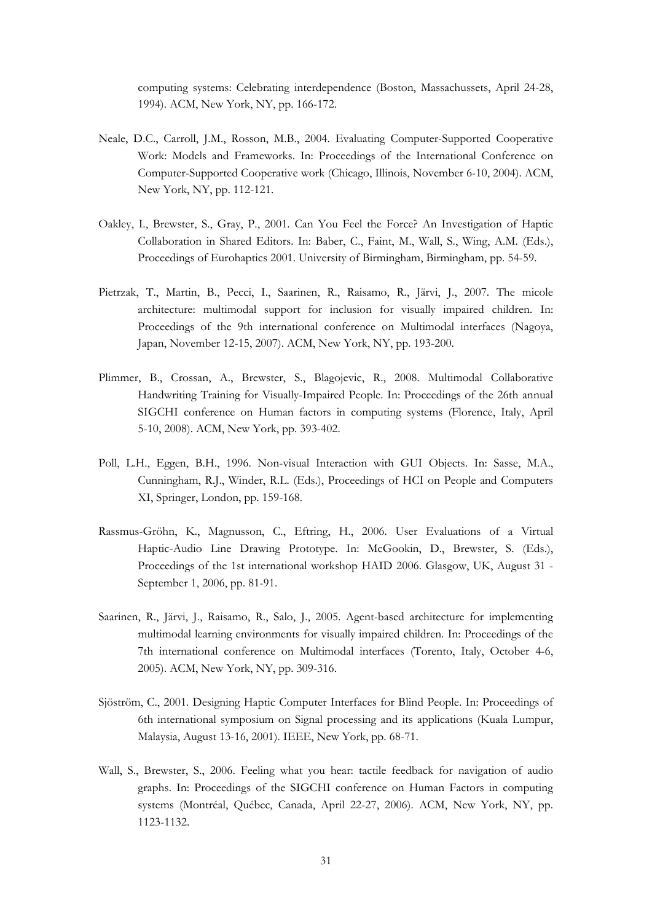computing systems: Celebrating interdependence (Boston, Massachussets, April 24-28, 1994). ACM, New York, NY, pp. 166-172.

- Neale, D.C., Carroll, J.M., Rosson, M.B., 2004. Evaluating Computer-Supported Cooperative Work: Models and Frameworks. In: Proceedings of the International Conference on Computer-Supported Cooperative work (Chicago, Illinois, November 6-10, 2004). ACM, New York, NY, pp. 112-121.
- Oakley, I., Brewster, S., Gray, P., 2001. Can You Feel the Force? An Investigation of Haptic Collaboration in Shared Editors. In: Baber, C., Faint, M., Wall, S., Wing, A.M. (Eds.), Proceedings of Eurohaptics 2001. University of Birmingham, Birmingham, pp. 54-59.
- Pietrzak, T., Martin, B., Pecci, I., Saarinen, R., Raisamo, R., Järvi, J., 2007. The micole architecture: multimodal support for inclusion for visually impaired children. In: Proceedings of the 9th international conference on Multimodal interfaces (Nagoya, Japan, November 12-15, 2007). ACM, New York, NY, pp. 193-200.
- Plimmer, B., Crossan, A., Brewster, S., Blagojevic, R., 2008. Multimodal Collaborative Handwriting Training for Visually-Impaired People. In: Proceedings of the 26th annual SIGCHI conference on Human factors in computing systems (Florence, Italy, April 5-10, 2008). ACM, New York, pp. 393-402.
- Poll, L.H., Eggen, B.H., 1996. Non-visual Interaction with GUI Objects. In: Sasse, M.A., Cunningham, R.J., Winder, R.L. (Eds.), Proceedings of HCI on People and Computers XI, Springer, London, pp. 159-168.
- Rassmus-Gröhn, K., Magnusson, C., Eftring, H., 2006. User Evaluations of a Virtual Haptic-Audio Line Drawing Prototype. In: McGookin, D., Brewster, S. (Eds.), Proceedings of the 1st international workshop HAID 2006. Glasgow, UK, August 31 - September 1, 2006, pp. 81-91.
- Saarinen, R., Järvi, J., Raisamo, R., Salo, J., 2005. Agent-based architecture for implementing multimodal learning environments for visually impaired children. In: Proceedings of the 7th international conference on Multimodal interfaces (Torento, Italy, October 4-6, 2005). ACM, New York, NY, pp. 309-316.
- Sjöström, C., 2001. Designing Haptic Computer Interfaces for Blind People. In: Proceedings of 6th international symposium on Signal processing and its applications (Kuala Lumpur, Malaysia, August 13-16, 2001). IEEE, New York, pp. 68-71.
- Wall, S., Brewster, S., 2006. Feeling what you hear: tactile feedback for navigation of audio graphs. In: Proceedings of the SIGCHI conference on Human Factors in computing systems (Montréal, Québec, Canada, April 22-27, 2006). ACM, New York, NY, pp. 1123-1132.